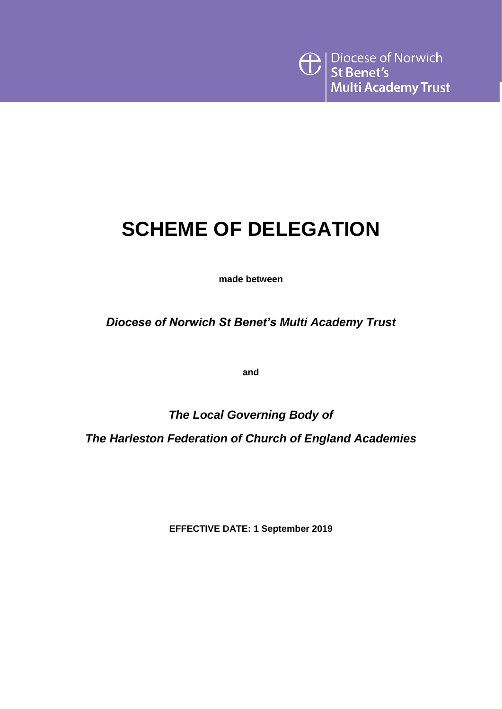# **SCHEME OF DELEGATION**

**made between**

*Diocese of Norwich St Benet's Multi Academy Trust*

**and**

*The Local Governing Body of* 

*The Harleston Federation of Church of England Academies*

**EFFECTIVE DATE: 1 September 2019**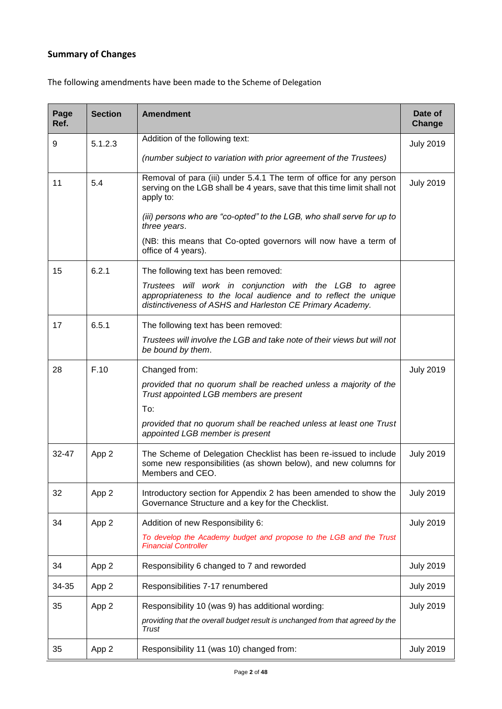### **Summary of Changes**

The following amendments have been made to the Scheme of Delegation

| Page<br>Ref. | <b>Section</b> | <b>Amendment</b>                                                                                                                                                                        | Date of<br><b>Change</b> |
|--------------|----------------|-----------------------------------------------------------------------------------------------------------------------------------------------------------------------------------------|--------------------------|
| 9            | 5.1.2.3        | Addition of the following text:                                                                                                                                                         | <b>July 2019</b>         |
|              |                | (number subject to variation with prior agreement of the Trustees)                                                                                                                      |                          |
| 11           | 5.4            | Removal of para (iii) under 5.4.1 The term of office for any person<br>serving on the LGB shall be 4 years, save that this time limit shall not<br>apply to:                            | <b>July 2019</b>         |
|              |                | (iii) persons who are "co-opted" to the LGB, who shall serve for up to<br>three years.                                                                                                  |                          |
|              |                | (NB: this means that Co-opted governors will now have a term of<br>office of 4 years).                                                                                                  |                          |
| 15           | 6.2.1          | The following text has been removed:                                                                                                                                                    |                          |
|              |                | Trustees will work in conjunction with the LGB to agree<br>appropriateness to the local audience and to reflect the unique<br>distinctiveness of ASHS and Harleston CE Primary Academy. |                          |
| 17           | 6.5.1          | The following text has been removed:                                                                                                                                                    |                          |
|              |                | Trustees will involve the LGB and take note of their views but will not<br>be bound by them.                                                                                            |                          |
| 28           | F.10           | Changed from:                                                                                                                                                                           | <b>July 2019</b>         |
|              |                | provided that no quorum shall be reached unless a majority of the<br>Trust appointed LGB members are present                                                                            |                          |
|              |                | To:                                                                                                                                                                                     |                          |
|              |                | provided that no quorum shall be reached unless at least one Trust<br>appointed LGB member is present                                                                                   |                          |
| $32 - 47$    | App 2          | The Scheme of Delegation Checklist has been re-issued to include<br>some new responsibilities (as shown below), and new columns for<br>Members and CEO.                                 | <b>July 2019</b>         |
| 32           | App 2          | Introductory section for Appendix 2 has been amended to show the<br>Governance Structure and a key for the Checklist.                                                                   | <b>July 2019</b>         |
| 34           | App 2          | Addition of new Responsibility 6:                                                                                                                                                       | <b>July 2019</b>         |
|              |                | To develop the Academy budget and propose to the LGB and the Trust<br><b>Financial Controller</b>                                                                                       |                          |
| 34           | App 2          | Responsibility 6 changed to 7 and reworded                                                                                                                                              | <b>July 2019</b>         |
| 34-35        | App 2          | Responsibilities 7-17 renumbered                                                                                                                                                        | <b>July 2019</b>         |
| 35           | App 2          | Responsibility 10 (was 9) has additional wording:                                                                                                                                       | <b>July 2019</b>         |
|              |                | providing that the overall budget result is unchanged from that agreed by the<br>Trust                                                                                                  |                          |
| 35           | App 2          | Responsibility 11 (was 10) changed from:                                                                                                                                                | <b>July 2019</b>         |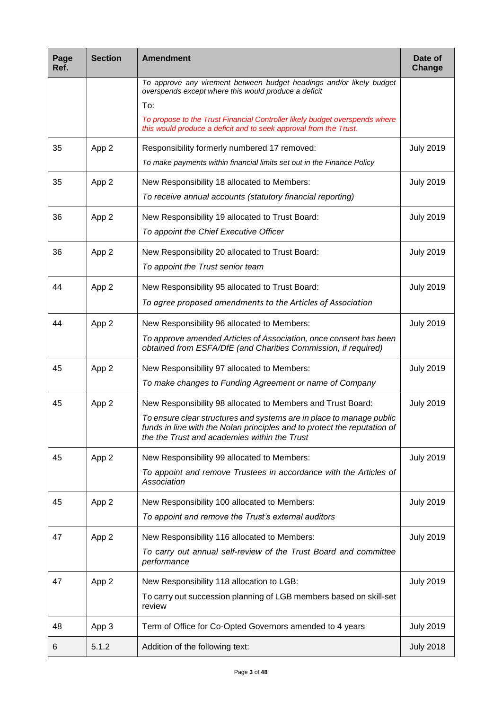| Page<br>Ref. | <b>Section</b> | <b>Amendment</b>                                                                                                                                                                                                                                                | Date of<br>Change |
|--------------|----------------|-----------------------------------------------------------------------------------------------------------------------------------------------------------------------------------------------------------------------------------------------------------------|-------------------|
|              |                | To approve any virement between budget headings and/or likely budget<br>overspends except where this would produce a deficit<br>To:                                                                                                                             |                   |
|              |                | To propose to the Trust Financial Controller likely budget overspends where<br>this would produce a deficit and to seek approval from the Trust.                                                                                                                |                   |
| 35           | App 2          | Responsibility formerly numbered 17 removed:<br>To make payments within financial limits set out in the Finance Policy                                                                                                                                          | <b>July 2019</b>  |
| 35           | App 2          | New Responsibility 18 allocated to Members:<br>To receive annual accounts (statutory financial reporting)                                                                                                                                                       | <b>July 2019</b>  |
| 36           | App 2          | New Responsibility 19 allocated to Trust Board:<br>To appoint the Chief Executive Officer                                                                                                                                                                       | <b>July 2019</b>  |
| 36           | App 2          | New Responsibility 20 allocated to Trust Board:<br>To appoint the Trust senior team                                                                                                                                                                             | <b>July 2019</b>  |
| 44           | App 2          | New Responsibility 95 allocated to Trust Board:<br>To agree proposed amendments to the Articles of Association                                                                                                                                                  | <b>July 2019</b>  |
| 44           | App 2          | New Responsibility 96 allocated to Members:<br>To approve amended Articles of Association, once consent has been<br>obtained from ESFA/DfE (and Charities Commission, if required)                                                                              | <b>July 2019</b>  |
| 45           | App 2          | New Responsibility 97 allocated to Members:<br>To make changes to Funding Agreement or name of Company                                                                                                                                                          | <b>July 2019</b>  |
| 45           | App 2          | New Responsibility 98 allocated to Members and Trust Board:<br>To ensure clear structures and systems are in place to manage public<br>funds in line with the Nolan principles and to protect the reputation of<br>the the Trust and academies within the Trust | <b>July 2019</b>  |
| 45           | App 2          | New Responsibility 99 allocated to Members:<br>To appoint and remove Trustees in accordance with the Articles of<br>Association                                                                                                                                 | <b>July 2019</b>  |
| 45           | App 2          | New Responsibility 100 allocated to Members:<br>To appoint and remove the Trust's external auditors                                                                                                                                                             | <b>July 2019</b>  |
| 47           | App 2          | New Responsibility 116 allocated to Members:<br>To carry out annual self-review of the Trust Board and committee<br>performance                                                                                                                                 | <b>July 2019</b>  |
| 47           | App 2          | New Responsibility 118 allocation to LGB:<br>To carry out succession planning of LGB members based on skill-set<br>review                                                                                                                                       | <b>July 2019</b>  |
| 48           | App 3          | Term of Office for Co-Opted Governors amended to 4 years                                                                                                                                                                                                        | <b>July 2019</b>  |
| 6            | 5.1.2          | Addition of the following text:                                                                                                                                                                                                                                 | <b>July 2018</b>  |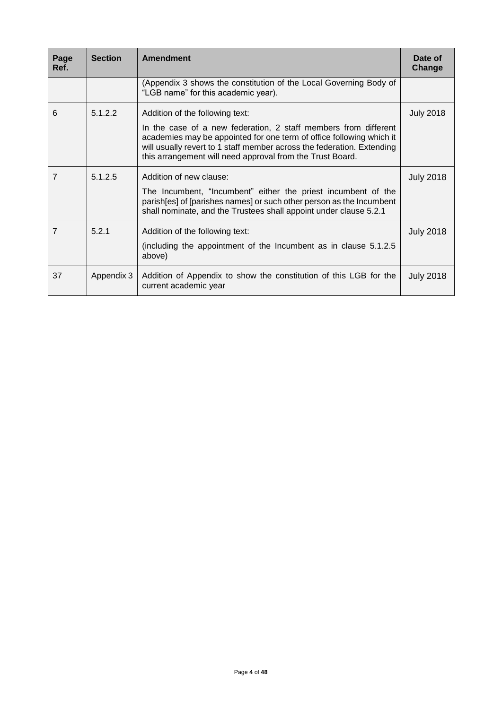| Page<br>Ref.   | <b>Section</b> | <b>Amendment</b>                                                                                                                                                                                                                                                                                                  | Date of<br>Change |
|----------------|----------------|-------------------------------------------------------------------------------------------------------------------------------------------------------------------------------------------------------------------------------------------------------------------------------------------------------------------|-------------------|
|                |                | (Appendix 3 shows the constitution of the Local Governing Body of<br>"LGB name" for this academic year).                                                                                                                                                                                                          |                   |
| 6              | 5.1.2.2        | Addition of the following text:<br>In the case of a new federation, 2 staff members from different<br>academies may be appointed for one term of office following which it<br>will usually revert to 1 staff member across the federation. Extending<br>this arrangement will need approval from the Trust Board. | <b>July 2018</b>  |
| $\overline{7}$ | 5.1.2.5        | Addition of new clause:<br>The Incumbent, "Incumbent" either the priest incumbent of the<br>parish [es] of [parishes names] or such other person as the Incumbent<br>shall nominate, and the Trustees shall appoint under clause 5.2.1                                                                            | <b>July 2018</b>  |
| 7              | 5.2.1          | Addition of the following text:<br>(including the appointment of the Incumbent as in clause 5.1.2.5)<br>above)                                                                                                                                                                                                    | <b>July 2018</b>  |
| 37             | Appendix 3     | Addition of Appendix to show the constitution of this LGB for the<br>current academic year                                                                                                                                                                                                                        | <b>July 2018</b>  |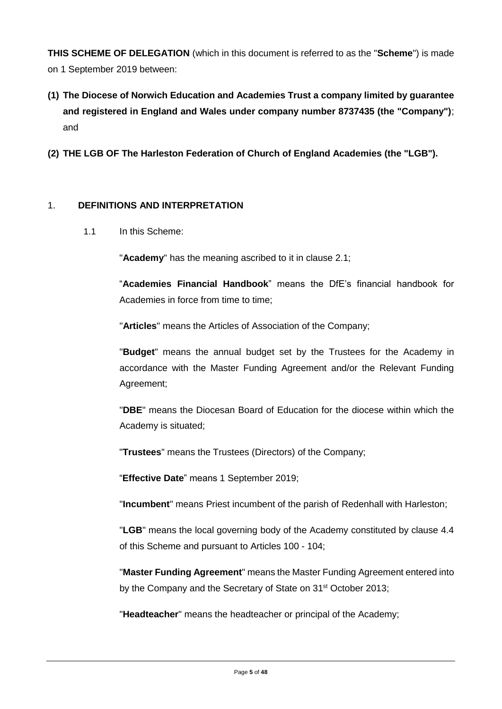**THIS SCHEME OF DELEGATION** (which in this document is referred to as the "**Scheme**") is made on 1 September 2019 between:

- **(1) The Diocese of Norwich Education and Academies Trust a company limited by guarantee and registered in England and Wales under company number 8737435 (the "Company")**; and
- **(2) THE LGB OF The Harleston Federation of Church of England Academies (the "LGB").**

#### 1. **DEFINITIONS AND INTERPRETATION**

1.1 In this Scheme:

"**Academy**" has the meaning ascribed to it in clause 2.1;

"**Academies Financial Handbook**" means the DfE's financial handbook for Academies in force from time to time;

"**Articles**" means the Articles of Association of the Company;

"**Budget**" means the annual budget set by the Trustees for the Academy in accordance with the Master Funding Agreement and/or the Relevant Funding Agreement;

"**DBE**" means the Diocesan Board of Education for the diocese within which the Academy is situated;

"**Trustees**" means the Trustees (Directors) of the Company;

"**Effective Date**" means 1 September 2019;

"**Incumbent**" means Priest incumbent of the parish of Redenhall with Harleston;

"**LGB**" means the local governing body of the Academy constituted by clause 4.4 of this Scheme and pursuant to Articles 100 - 104;

"**Master Funding Agreement**" means the Master Funding Agreement entered into by the Company and the Secretary of State on 31<sup>st</sup> October 2013;

"**Headteacher**" means the headteacher or principal of the Academy;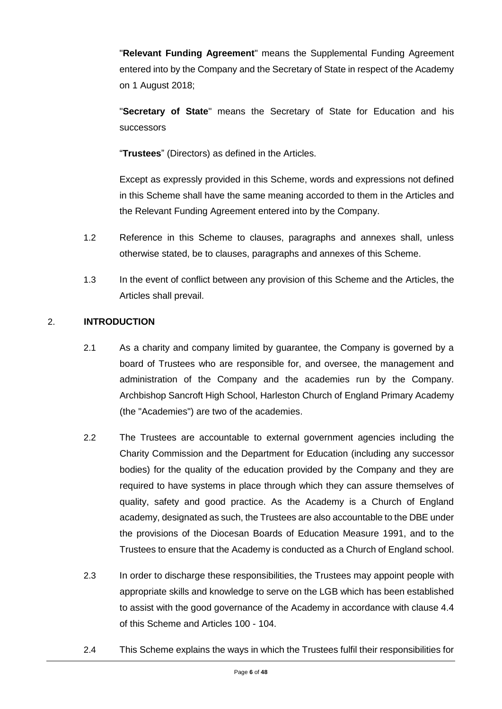"**Relevant Funding Agreement**" means the Supplemental Funding Agreement entered into by the Company and the Secretary of State in respect of the Academy on 1 August 2018;

"**Secretary of State**" means the Secretary of State for Education and his successors

"**Trustees**" (Directors) as defined in the Articles.

Except as expressly provided in this Scheme, words and expressions not defined in this Scheme shall have the same meaning accorded to them in the Articles and the Relevant Funding Agreement entered into by the Company.

- 1.2 Reference in this Scheme to clauses, paragraphs and annexes shall, unless otherwise stated, be to clauses, paragraphs and annexes of this Scheme.
- 1.3 In the event of conflict between any provision of this Scheme and the Articles, the Articles shall prevail.

#### 2. **INTRODUCTION**

- 2.1 As a charity and company limited by guarantee, the Company is governed by a board of Trustees who are responsible for, and oversee, the management and administration of the Company and the academies run by the Company. Archbishop Sancroft High School, Harleston Church of England Primary Academy (the "Academies") are two of the academies.
- 2.2 The Trustees are accountable to external government agencies including the Charity Commission and the Department for Education (including any successor bodies) for the quality of the education provided by the Company and they are required to have systems in place through which they can assure themselves of quality, safety and good practice. As the Academy is a Church of England academy, designated as such, the Trustees are also accountable to the DBE under the provisions of the Diocesan Boards of Education Measure 1991, and to the Trustees to ensure that the Academy is conducted as a Church of England school.
- 2.3 In order to discharge these responsibilities, the Trustees may appoint people with appropriate skills and knowledge to serve on the LGB which has been established to assist with the good governance of the Academy in accordance with clause 4.4 of this Scheme and Articles 100 - 104.
- 2.4 This Scheme explains the ways in which the Trustees fulfil their responsibilities for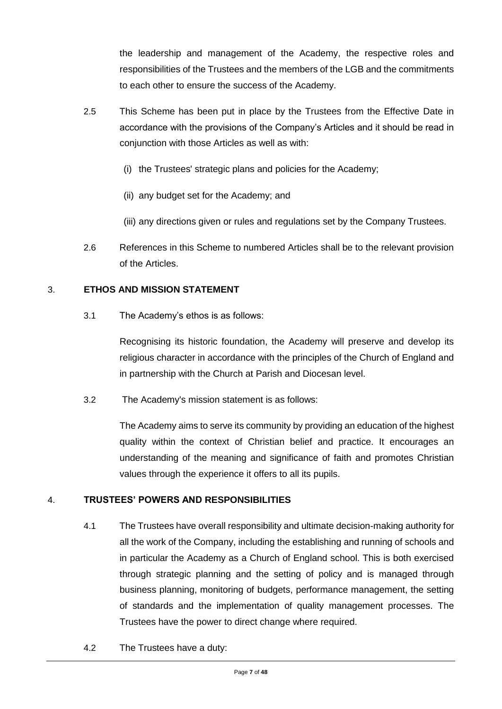the leadership and management of the Academy, the respective roles and responsibilities of the Trustees and the members of the LGB and the commitments to each other to ensure the success of the Academy.

- 2.5 This Scheme has been put in place by the Trustees from the Effective Date in accordance with the provisions of the Company's Articles and it should be read in conjunction with those Articles as well as with:
	- (i) the Trustees' strategic plans and policies for the Academy;
	- (ii) any budget set for the Academy; and
	- (iii) any directions given or rules and regulations set by the Company Trustees.
- 2.6 References in this Scheme to numbered Articles shall be to the relevant provision of the Articles.

#### 3. **ETHOS AND MISSION STATEMENT**

3.1 The Academy's ethos is as follows:

Recognising its historic foundation, the Academy will preserve and develop its religious character in accordance with the principles of the Church of England and in partnership with the Church at Parish and Diocesan level.

3.2 The Academy's mission statement is as follows:

The Academy aims to serve its community by providing an education of the highest quality within the context of Christian belief and practice. It encourages an understanding of the meaning and significance of faith and promotes Christian values through the experience it offers to all its pupils.

#### 4. **TRUSTEES' POWERS AND RESPONSIBILITIES**

- 4.1 The Trustees have overall responsibility and ultimate decision-making authority for all the work of the Company, including the establishing and running of schools and in particular the Academy as a Church of England school. This is both exercised through strategic planning and the setting of policy and is managed through business planning, monitoring of budgets, performance management, the setting of standards and the implementation of quality management processes. The Trustees have the power to direct change where required.
- 4.2 The Trustees have a duty: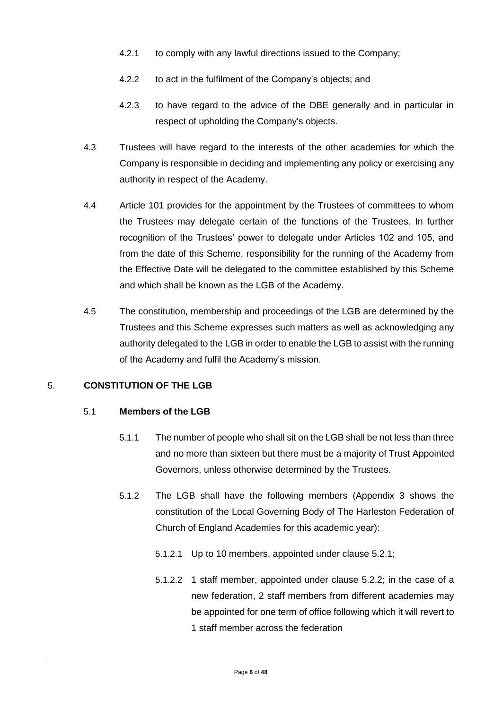- 4.2.1 to comply with any lawful directions issued to the Company;
- 4.2.2 to act in the fulfilment of the Company's objects; and
- 4.2.3 to have regard to the advice of the DBE generally and in particular in respect of upholding the Company's objects.
- 4.3 Trustees will have regard to the interests of the other academies for which the Company is responsible in deciding and implementing any policy or exercising any authority in respect of the Academy.
- 4.4 Article 101 provides for the appointment by the Trustees of committees to whom the Trustees may delegate certain of the functions of the Trustees. In further recognition of the Trustees' power to delegate under Articles 102 and 105, and from the date of this Scheme, responsibility for the running of the Academy from the Effective Date will be delegated to the committee established by this Scheme and which shall be known as the LGB of the Academy.
- 4.5 The constitution, membership and proceedings of the LGB are determined by the Trustees and this Scheme expresses such matters as well as acknowledging any authority delegated to the LGB in order to enable the LGB to assist with the running of the Academy and fulfil the Academy's mission.

#### 5. **CONSTITUTION OF THE LGB**

#### 5.1 **Members of the LGB**

- 5.1.1 The number of people who shall sit on the LGB shall be not less than three and no more than sixteen but there must be a majority of Trust Appointed Governors, unless otherwise determined by the Trustees.
- 5.1.2 The LGB shall have the following members (Appendix 3 shows the constitution of the Local Governing Body of The Harleston Federation of Church of England Academies for this academic year):
	- 5.1.2.1 Up to 10 members, appointed under clause 5.2.1;
	- 5.1.2.2 1 staff member, appointed under clause 5.2.2; in the case of a new federation, 2 staff members from different academies may be appointed for one term of office following which it will revert to 1 staff member across the federation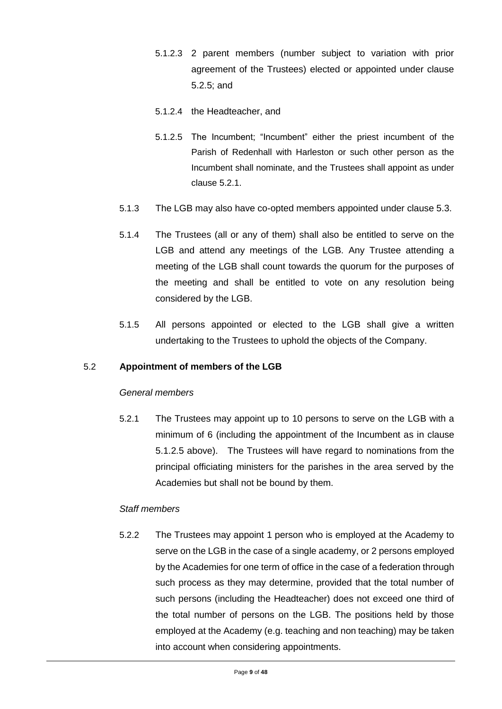- 5.1.2.3 2 parent members (number subject to variation with prior agreement of the Trustees) elected or appointed under clause 5.2.5; and
- 5.1.2.4 the Headteacher, and
- 5.1.2.5 The Incumbent; "Incumbent" either the priest incumbent of the Parish of Redenhall with Harleston or such other person as the Incumbent shall nominate, and the Trustees shall appoint as under clause 5.2.1.
- 5.1.3 The LGB may also have co-opted members appointed under clause 5.3.
- 5.1.4 The Trustees (all or any of them) shall also be entitled to serve on the LGB and attend any meetings of the LGB. Any Trustee attending a meeting of the LGB shall count towards the quorum for the purposes of the meeting and shall be entitled to vote on any resolution being considered by the LGB.
- 5.1.5 All persons appointed or elected to the LGB shall give a written undertaking to the Trustees to uphold the objects of the Company.

#### 5.2 **Appointment of members of the LGB**

#### *General members*

5.2.1 The Trustees may appoint up to 10 persons to serve on the LGB with a minimum of 6 (including the appointment of the Incumbent as in clause 5.1.2.5 above). The Trustees will have regard to nominations from the principal officiating ministers for the parishes in the area served by the Academies but shall not be bound by them.

#### *Staff members*

5.2.2 The Trustees may appoint 1 person who is employed at the Academy to serve on the LGB in the case of a single academy, or 2 persons employed by the Academies for one term of office in the case of a federation through such process as they may determine, provided that the total number of such persons (including the Headteacher) does not exceed one third of the total number of persons on the LGB. The positions held by those employed at the Academy (e.g. teaching and non teaching) may be taken into account when considering appointments.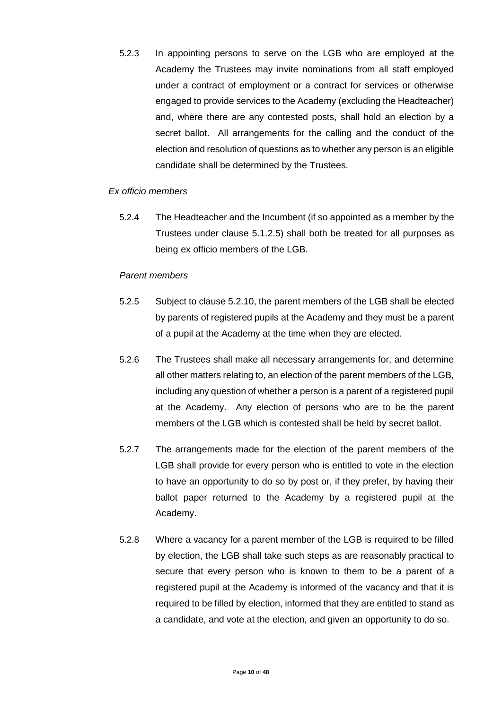5.2.3 In appointing persons to serve on the LGB who are employed at the Academy the Trustees may invite nominations from all staff employed under a contract of employment or a contract for services or otherwise engaged to provide services to the Academy (excluding the Headteacher) and, where there are any contested posts, shall hold an election by a secret ballot. All arrangements for the calling and the conduct of the election and resolution of questions as to whether any person is an eligible candidate shall be determined by the Trustees.

#### *Ex officio members*

5.2.4 The Headteacher and the Incumbent (if so appointed as a member by the Trustees under clause 5.1.2.5) shall both be treated for all purposes as being ex officio members of the LGB.

#### *Parent members*

- 5.2.5 Subject to clause 5.2.10, the parent members of the LGB shall be elected by parents of registered pupils at the Academy and they must be a parent of a pupil at the Academy at the time when they are elected.
- 5.2.6 The Trustees shall make all necessary arrangements for, and determine all other matters relating to, an election of the parent members of the LGB, including any question of whether a person is a parent of a registered pupil at the Academy. Any election of persons who are to be the parent members of the LGB which is contested shall be held by secret ballot.
- 5.2.7 The arrangements made for the election of the parent members of the LGB shall provide for every person who is entitled to vote in the election to have an opportunity to do so by post or, if they prefer, by having their ballot paper returned to the Academy by a registered pupil at the Academy.
- 5.2.8 Where a vacancy for a parent member of the LGB is required to be filled by election, the LGB shall take such steps as are reasonably practical to secure that every person who is known to them to be a parent of a registered pupil at the Academy is informed of the vacancy and that it is required to be filled by election, informed that they are entitled to stand as a candidate, and vote at the election, and given an opportunity to do so.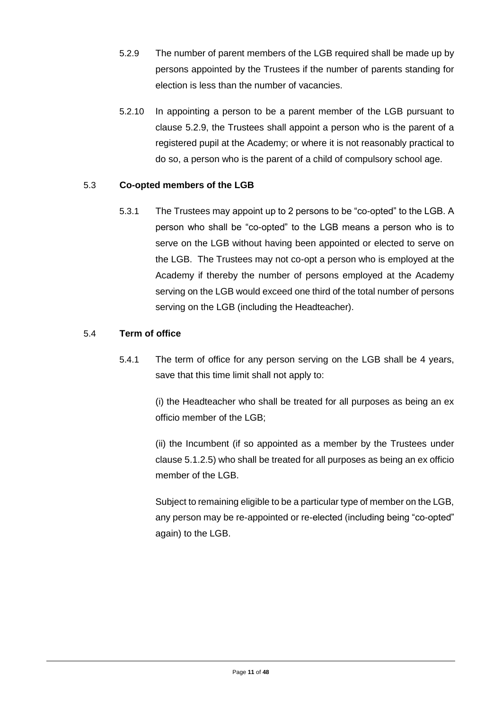- 5.2.9 The number of parent members of the LGB required shall be made up by persons appointed by the Trustees if the number of parents standing for election is less than the number of vacancies.
- 5.2.10 In appointing a person to be a parent member of the LGB pursuant to clause 5.2.9, the Trustees shall appoint a person who is the parent of a registered pupil at the Academy; or where it is not reasonably practical to do so, a person who is the parent of a child of compulsory school age.

#### 5.3 **Co-opted members of the LGB**

5.3.1 The Trustees may appoint up to 2 persons to be "co-opted" to the LGB. A person who shall be "co-opted" to the LGB means a person who is to serve on the LGB without having been appointed or elected to serve on the LGB. The Trustees may not co-opt a person who is employed at the Academy if thereby the number of persons employed at the Academy serving on the LGB would exceed one third of the total number of persons serving on the LGB (including the Headteacher).

#### 5.4 **Term of office**

5.4.1 The term of office for any person serving on the LGB shall be 4 years, save that this time limit shall not apply to:

> (i) the Headteacher who shall be treated for all purposes as being an ex officio member of the LGB;

> (ii) the Incumbent (if so appointed as a member by the Trustees under clause 5.1.2.5) who shall be treated for all purposes as being an ex officio member of the LGB.

> Subject to remaining eligible to be a particular type of member on the LGB, any person may be re-appointed or re-elected (including being "co-opted" again) to the LGB.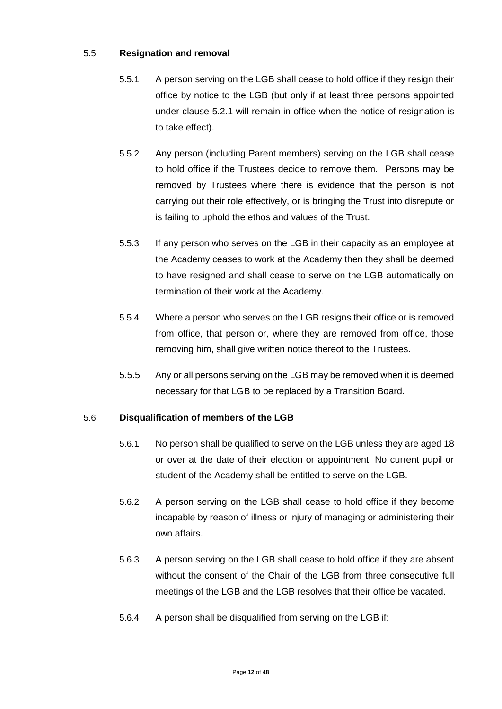#### 5.5 **Resignation and removal**

- 5.5.1 A person serving on the LGB shall cease to hold office if they resign their office by notice to the LGB (but only if at least three persons appointed under clause 5.2.1 will remain in office when the notice of resignation is to take effect).
- 5.5.2 Any person (including Parent members) serving on the LGB shall cease to hold office if the Trustees decide to remove them. Persons may be removed by Trustees where there is evidence that the person is not carrying out their role effectively, or is bringing the Trust into disrepute or is failing to uphold the ethos and values of the Trust.
- 5.5.3 If any person who serves on the LGB in their capacity as an employee at the Academy ceases to work at the Academy then they shall be deemed to have resigned and shall cease to serve on the LGB automatically on termination of their work at the Academy.
- 5.5.4 Where a person who serves on the LGB resigns their office or is removed from office, that person or, where they are removed from office, those removing him, shall give written notice thereof to the Trustees.
- 5.5.5 Any or all persons serving on the LGB may be removed when it is deemed necessary for that LGB to be replaced by a Transition Board.

#### 5.6 **Disqualification of members of the LGB**

- 5.6.1 No person shall be qualified to serve on the LGB unless they are aged 18 or over at the date of their election or appointment. No current pupil or student of the Academy shall be entitled to serve on the LGB.
- 5.6.2 A person serving on the LGB shall cease to hold office if they become incapable by reason of illness or injury of managing or administering their own affairs.
- 5.6.3 A person serving on the LGB shall cease to hold office if they are absent without the consent of the Chair of the LGB from three consecutive full meetings of the LGB and the LGB resolves that their office be vacated.
- 5.6.4 A person shall be disqualified from serving on the LGB if: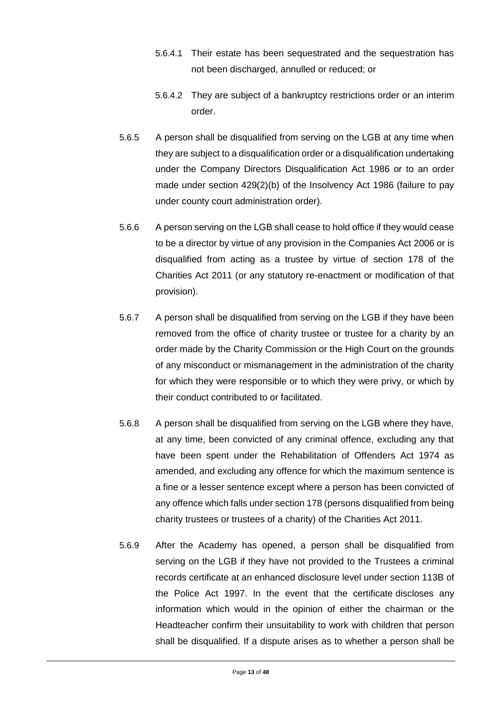- 5.6.4.1 Their estate has been sequestrated and the sequestration has not been discharged, annulled or reduced; or
- 5.6.4.2 They are subject of a bankruptcy restrictions order or an interim order.
- 5.6.5 A person shall be disqualified from serving on the LGB at any time when they are subject to a disqualification order or a disqualification undertaking under the Company Directors Disqualification Act 1986 or to an order made under section 429(2)(b) of the Insolvency Act 1986 (failure to pay under county court administration order).
- 5.6.6 A person serving on the LGB shall cease to hold office if they would cease to be a director by virtue of any provision in the Companies Act 2006 or is disqualified from acting as a trustee by virtue of section 178 of the Charities Act 2011 (or any statutory re-enactment or modification of that provision).
- 5.6.7 A person shall be disqualified from serving on the LGB if they have been removed from the office of charity trustee or trustee for a charity by an order made by the Charity Commission or the High Court on the grounds of any misconduct or mismanagement in the administration of the charity for which they were responsible or to which they were privy, or which by their conduct contributed to or facilitated.
- 5.6.8 A person shall be disqualified from serving on the LGB where they have, at any time, been convicted of any criminal offence, excluding any that have been spent under the Rehabilitation of Offenders Act 1974 as amended, and excluding any offence for which the maximum sentence is a fine or a lesser sentence except where a person has been convicted of any offence which falls under section 178 (persons disqualified from being charity trustees or trustees of a charity) of the Charities Act 2011.
- 5.6.9 After the Academy has opened, a person shall be disqualified from serving on the LGB if they have not provided to the Trustees a criminal records certificate at an enhanced disclosure level under section 113B of the Police Act 1997. In the event that the certificate discloses any information which would in the opinion of either the chairman or the Headteacher confirm their unsuitability to work with children that person shall be disqualified. If a dispute arises as to whether a person shall be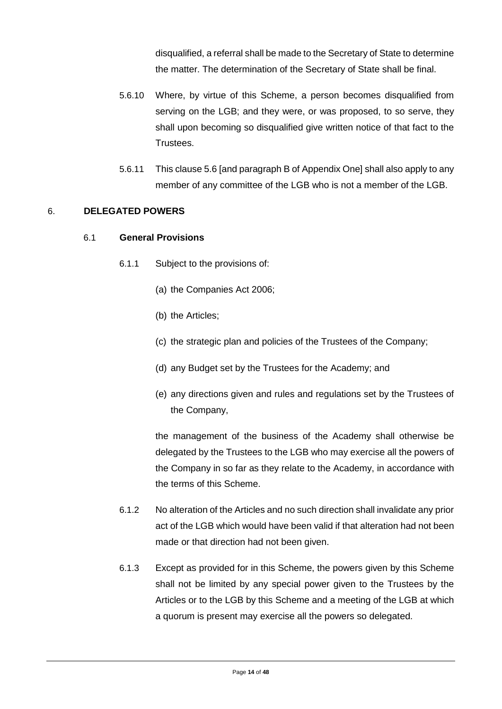disqualified, a referral shall be made to the Secretary of State to determine the matter. The determination of the Secretary of State shall be final.

- 5.6.10 Where, by virtue of this Scheme, a person becomes disqualified from serving on the LGB; and they were, or was proposed, to so serve, they shall upon becoming so disqualified give written notice of that fact to the Trustees.
- 5.6.11 This clause 5.6 [and paragraph B of Appendix One] shall also apply to any member of any committee of the LGB who is not a member of the LGB.

#### 6. **DELEGATED POWERS**

#### 6.1 **General Provisions**

- 6.1.1 Subject to the provisions of:
	- (a) the Companies Act 2006;
	- (b) the Articles;
	- (c) the strategic plan and policies of the Trustees of the Company;
	- (d) any Budget set by the Trustees for the Academy; and
	- (e) any directions given and rules and regulations set by the Trustees of the Company,

the management of the business of the Academy shall otherwise be delegated by the Trustees to the LGB who may exercise all the powers of the Company in so far as they relate to the Academy, in accordance with the terms of this Scheme.

- 6.1.2 No alteration of the Articles and no such direction shall invalidate any prior act of the LGB which would have been valid if that alteration had not been made or that direction had not been given.
- 6.1.3 Except as provided for in this Scheme, the powers given by this Scheme shall not be limited by any special power given to the Trustees by the Articles or to the LGB by this Scheme and a meeting of the LGB at which a quorum is present may exercise all the powers so delegated.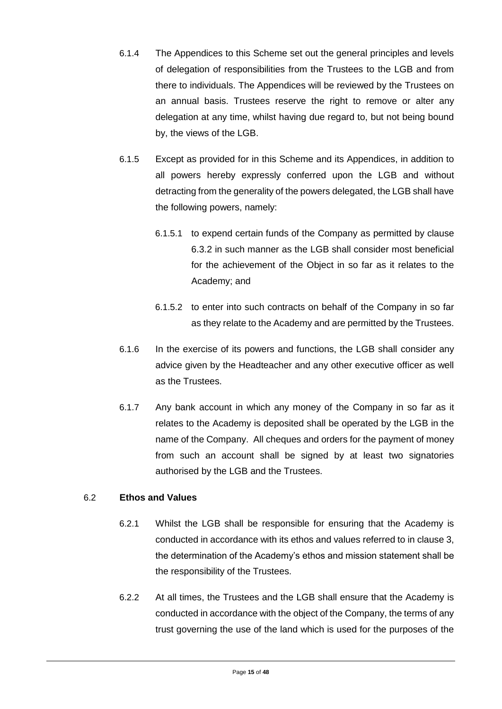- 6.1.4 The Appendices to this Scheme set out the general principles and levels of delegation of responsibilities from the Trustees to the LGB and from there to individuals. The Appendices will be reviewed by the Trustees on an annual basis. Trustees reserve the right to remove or alter any delegation at any time, whilst having due regard to, but not being bound by, the views of the LGB.
- 6.1.5 Except as provided for in this Scheme and its Appendices, in addition to all powers hereby expressly conferred upon the LGB and without detracting from the generality of the powers delegated, the LGB shall have the following powers, namely:
	- 6.1.5.1 to expend certain funds of the Company as permitted by clause 6.3.2 in such manner as the LGB shall consider most beneficial for the achievement of the Object in so far as it relates to the Academy; and
	- 6.1.5.2 to enter into such contracts on behalf of the Company in so far as they relate to the Academy and are permitted by the Trustees.
- 6.1.6 In the exercise of its powers and functions, the LGB shall consider any advice given by the Headteacher and any other executive officer as well as the Trustees.
- 6.1.7 Any bank account in which any money of the Company in so far as it relates to the Academy is deposited shall be operated by the LGB in the name of the Company. All cheques and orders for the payment of money from such an account shall be signed by at least two signatories authorised by the LGB and the Trustees.

#### 6.2 **Ethos and Values**

- 6.2.1 Whilst the LGB shall be responsible for ensuring that the Academy is conducted in accordance with its ethos and values referred to in clause 3, the determination of the Academy's ethos and mission statement shall be the responsibility of the Trustees.
- 6.2.2 At all times, the Trustees and the LGB shall ensure that the Academy is conducted in accordance with the object of the Company, the terms of any trust governing the use of the land which is used for the purposes of the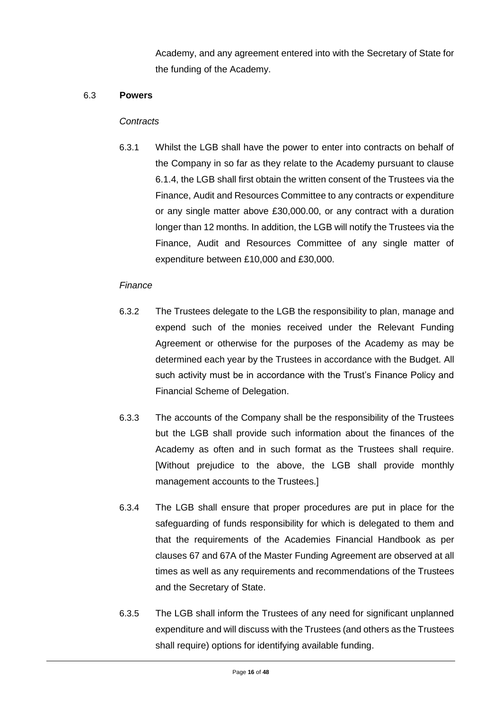Academy, and any agreement entered into with the Secretary of State for the funding of the Academy.

#### 6.3 **Powers**

#### *Contracts*

6.3.1 Whilst the LGB shall have the power to enter into contracts on behalf of the Company in so far as they relate to the Academy pursuant to clause 6.1.4, the LGB shall first obtain the written consent of the Trustees via the Finance, Audit and Resources Committee to any contracts or expenditure or any single matter above £30,000.00, or any contract with a duration longer than 12 months. In addition, the LGB will notify the Trustees via the Finance, Audit and Resources Committee of any single matter of expenditure between £10,000 and £30,000.

#### *Finance*

- 6.3.2 The Trustees delegate to the LGB the responsibility to plan, manage and expend such of the monies received under the Relevant Funding Agreement or otherwise for the purposes of the Academy as may be determined each year by the Trustees in accordance with the Budget. All such activity must be in accordance with the Trust's Finance Policy and Financial Scheme of Delegation.
- 6.3.3 The accounts of the Company shall be the responsibility of the Trustees but the LGB shall provide such information about the finances of the Academy as often and in such format as the Trustees shall require. [Without prejudice to the above, the LGB shall provide monthly management accounts to the Trustees.]
- 6.3.4 The LGB shall ensure that proper procedures are put in place for the safeguarding of funds responsibility for which is delegated to them and that the requirements of the Academies Financial Handbook as per clauses 67 and 67A of the Master Funding Agreement are observed at all times as well as any requirements and recommendations of the Trustees and the Secretary of State.
- 6.3.5 The LGB shall inform the Trustees of any need for significant unplanned expenditure and will discuss with the Trustees (and others as the Trustees shall require) options for identifying available funding.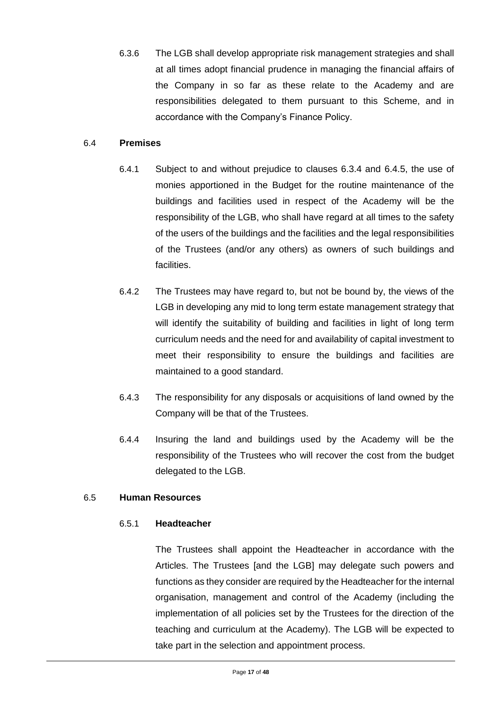6.3.6 The LGB shall develop appropriate risk management strategies and shall at all times adopt financial prudence in managing the financial affairs of the Company in so far as these relate to the Academy and are responsibilities delegated to them pursuant to this Scheme, and in accordance with the Company's Finance Policy.

#### 6.4 **Premises**

- 6.4.1 Subject to and without prejudice to clauses 6.3.4 and 6.4.5, the use of monies apportioned in the Budget for the routine maintenance of the buildings and facilities used in respect of the Academy will be the responsibility of the LGB, who shall have regard at all times to the safety of the users of the buildings and the facilities and the legal responsibilities of the Trustees (and/or any others) as owners of such buildings and facilities.
- 6.4.2 The Trustees may have regard to, but not be bound by, the views of the LGB in developing any mid to long term estate management strategy that will identify the suitability of building and facilities in light of long term curriculum needs and the need for and availability of capital investment to meet their responsibility to ensure the buildings and facilities are maintained to a good standard.
- 6.4.3 The responsibility for any disposals or acquisitions of land owned by the Company will be that of the Trustees.
- 6.4.4 Insuring the land and buildings used by the Academy will be the responsibility of the Trustees who will recover the cost from the budget delegated to the LGB.

#### 6.5 **Human Resources**

#### 6.5.1 **Headteacher**

The Trustees shall appoint the Headteacher in accordance with the Articles. The Trustees [and the LGB] may delegate such powers and functions as they consider are required by the Headteacher for the internal organisation, management and control of the Academy (including the implementation of all policies set by the Trustees for the direction of the teaching and curriculum at the Academy). The LGB will be expected to take part in the selection and appointment process.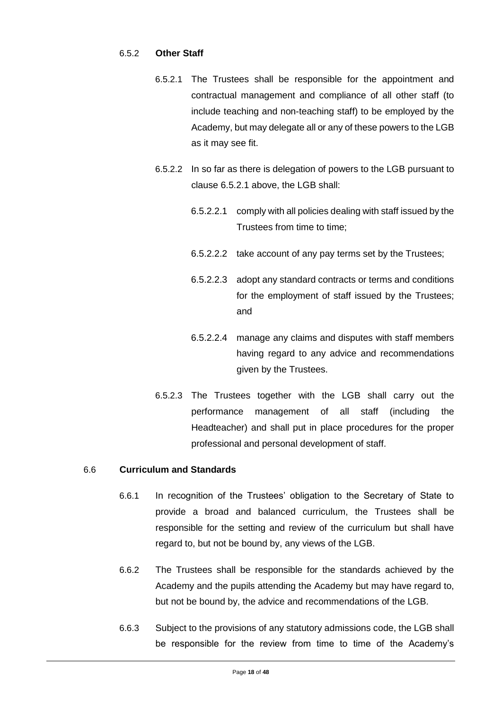#### 6.5.2 **Other Staff**

- 6.5.2.1 The Trustees shall be responsible for the appointment and contractual management and compliance of all other staff (to include teaching and non-teaching staff) to be employed by the Academy, but may delegate all or any of these powers to the LGB as it may see fit.
- 6.5.2.2 In so far as there is delegation of powers to the LGB pursuant to clause 6.5.2.1 above, the LGB shall:
	- 6.5.2.2.1 comply with all policies dealing with staff issued by the Trustees from time to time;
	- 6.5.2.2.2 take account of any pay terms set by the Trustees;
	- 6.5.2.2.3 adopt any standard contracts or terms and conditions for the employment of staff issued by the Trustees; and
	- 6.5.2.2.4 manage any claims and disputes with staff members having regard to any advice and recommendations given by the Trustees.
- 6.5.2.3 The Trustees together with the LGB shall carry out the performance management of all staff (including the Headteacher) and shall put in place procedures for the proper professional and personal development of staff.

#### 6.6 **Curriculum and Standards**

- 6.6.1 In recognition of the Trustees' obligation to the Secretary of State to provide a broad and balanced curriculum, the Trustees shall be responsible for the setting and review of the curriculum but shall have regard to, but not be bound by, any views of the LGB.
- 6.6.2 The Trustees shall be responsible for the standards achieved by the Academy and the pupils attending the Academy but may have regard to, but not be bound by, the advice and recommendations of the LGB.
- 6.6.3 Subject to the provisions of any statutory admissions code, the LGB shall be responsible for the review from time to time of the Academy's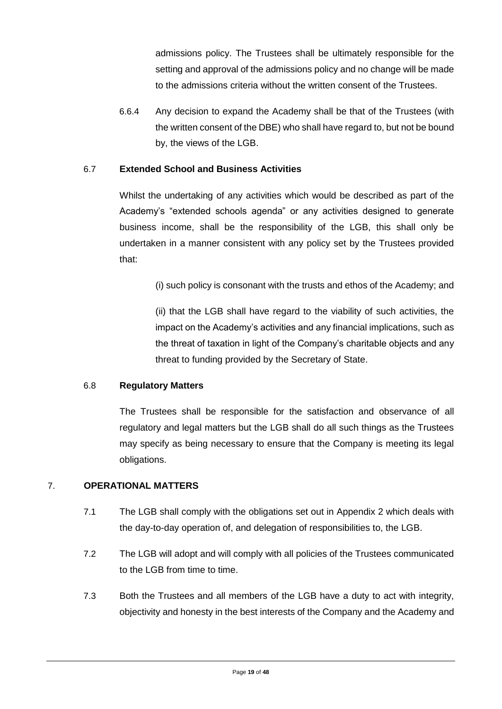admissions policy. The Trustees shall be ultimately responsible for the setting and approval of the admissions policy and no change will be made to the admissions criteria without the written consent of the Trustees.

6.6.4 Any decision to expand the Academy shall be that of the Trustees (with the written consent of the DBE) who shall have regard to, but not be bound by, the views of the LGB.

#### 6.7 **Extended School and Business Activities**

Whilst the undertaking of any activities which would be described as part of the Academy's "extended schools agenda" or any activities designed to generate business income, shall be the responsibility of the LGB, this shall only be undertaken in a manner consistent with any policy set by the Trustees provided that:

(i) such policy is consonant with the trusts and ethos of the Academy; and

(ii) that the LGB shall have regard to the viability of such activities, the impact on the Academy's activities and any financial implications, such as the threat of taxation in light of the Company's charitable objects and any threat to funding provided by the Secretary of State.

#### 6.8 **Regulatory Matters**

The Trustees shall be responsible for the satisfaction and observance of all regulatory and legal matters but the LGB shall do all such things as the Trustees may specify as being necessary to ensure that the Company is meeting its legal obligations.

#### 7. **OPERATIONAL MATTERS**

- 7.1 The LGB shall comply with the obligations set out in Appendix 2 which deals with the day-to-day operation of, and delegation of responsibilities to, the LGB.
- 7.2 The LGB will adopt and will comply with all policies of the Trustees communicated to the LGB from time to time.
- 7.3 Both the Trustees and all members of the LGB have a duty to act with integrity, objectivity and honesty in the best interests of the Company and the Academy and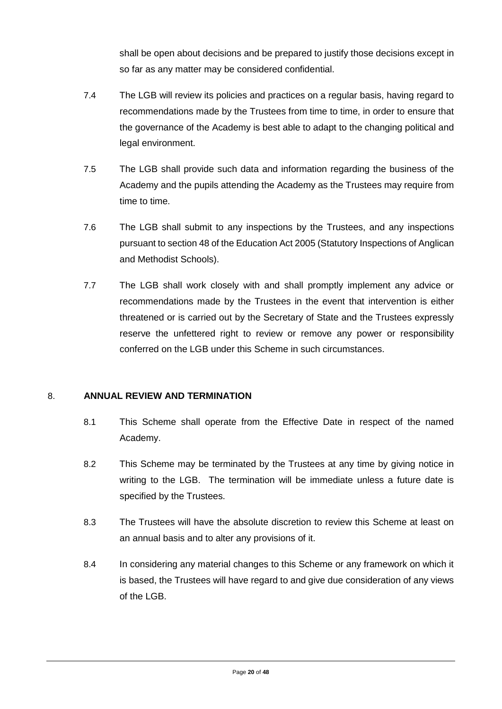shall be open about decisions and be prepared to justify those decisions except in so far as any matter may be considered confidential.

- 7.4 The LGB will review its policies and practices on a regular basis, having regard to recommendations made by the Trustees from time to time, in order to ensure that the governance of the Academy is best able to adapt to the changing political and legal environment.
- 7.5 The LGB shall provide such data and information regarding the business of the Academy and the pupils attending the Academy as the Trustees may require from time to time.
- 7.6 The LGB shall submit to any inspections by the Trustees, and any inspections pursuant to section 48 of the Education Act 2005 (Statutory Inspections of Anglican and Methodist Schools).
- 7.7 The LGB shall work closely with and shall promptly implement any advice or recommendations made by the Trustees in the event that intervention is either threatened or is carried out by the Secretary of State and the Trustees expressly reserve the unfettered right to review or remove any power or responsibility conferred on the LGB under this Scheme in such circumstances.

#### 8. **ANNUAL REVIEW AND TERMINATION**

- 8.1 This Scheme shall operate from the Effective Date in respect of the named Academy.
- 8.2 This Scheme may be terminated by the Trustees at any time by giving notice in writing to the LGB. The termination will be immediate unless a future date is specified by the Trustees.
- 8.3 The Trustees will have the absolute discretion to review this Scheme at least on an annual basis and to alter any provisions of it.
- 8.4 In considering any material changes to this Scheme or any framework on which it is based, the Trustees will have regard to and give due consideration of any views of the LGB.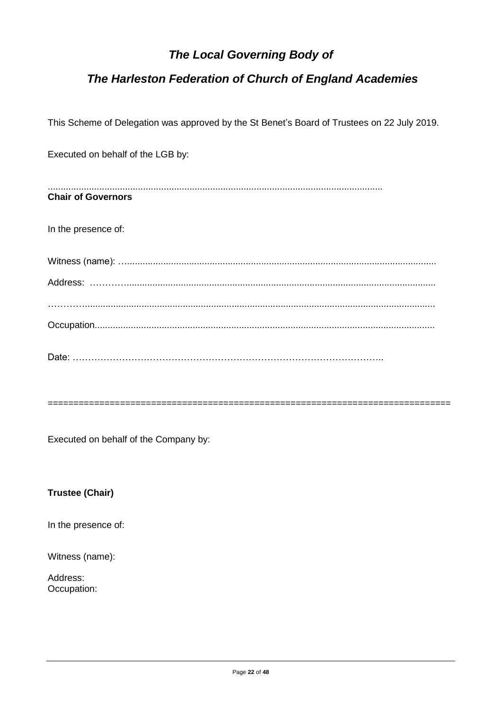# **The Local Governing Body of**

## The Harleston Federation of Church of England Academies

This Scheme of Delegation was approved by the St Benet's Board of Trustees on 22 July 2019.

Executed on behalf of the LGB by: **Chair of Governors** In the presence of: 

Executed on behalf of the Company by:

**Trustee (Chair)** 

In the presence of:

Witness (name):

Address: Occupation: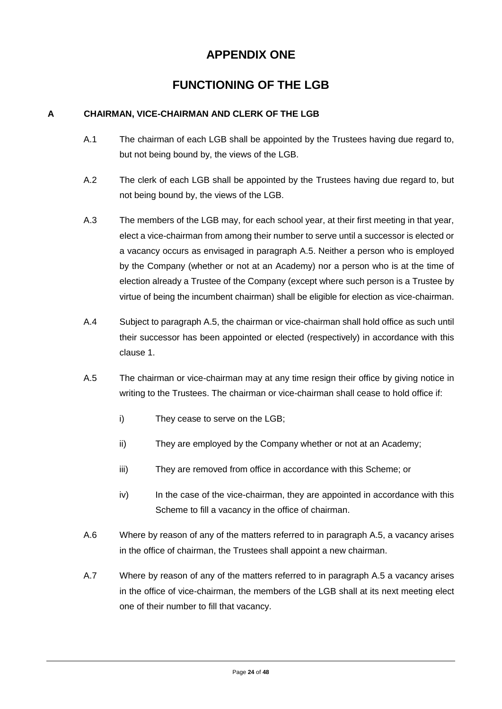# **APPENDIX ONE**

# **FUNCTIONING OF THE LGB**

#### **A CHAIRMAN, VICE-CHAIRMAN AND CLERK OF THE LGB**

- A.1 The chairman of each LGB shall be appointed by the Trustees having due regard to, but not being bound by, the views of the LGB.
- A.2 The clerk of each LGB shall be appointed by the Trustees having due regard to, but not being bound by, the views of the LGB.
- A.3 The members of the LGB may, for each school year, at their first meeting in that year, elect a vice-chairman from among their number to serve until a successor is elected or a vacancy occurs as envisaged in paragraph A.5. Neither a person who is employed by the Company (whether or not at an Academy) nor a person who is at the time of election already a Trustee of the Company (except where such person is a Trustee by virtue of being the incumbent chairman) shall be eligible for election as vice-chairman.
- A.4 Subject to paragraph A.5, the chairman or vice-chairman shall hold office as such until their successor has been appointed or elected (respectively) in accordance with this clause 1.
- A.5 The chairman or vice-chairman may at any time resign their office by giving notice in writing to the Trustees. The chairman or vice-chairman shall cease to hold office if:
	- i) They cease to serve on the LGB;
	- ii) They are employed by the Company whether or not at an Academy;
	- iii) They are removed from office in accordance with this Scheme; or
	- iv) In the case of the vice-chairman, they are appointed in accordance with this Scheme to fill a vacancy in the office of chairman.
- A.6 Where by reason of any of the matters referred to in paragraph A.5, a vacancy arises in the office of chairman, the Trustees shall appoint a new chairman.
- A.7 Where by reason of any of the matters referred to in paragraph A.5 a vacancy arises in the office of vice-chairman, the members of the LGB shall at its next meeting elect one of their number to fill that vacancy.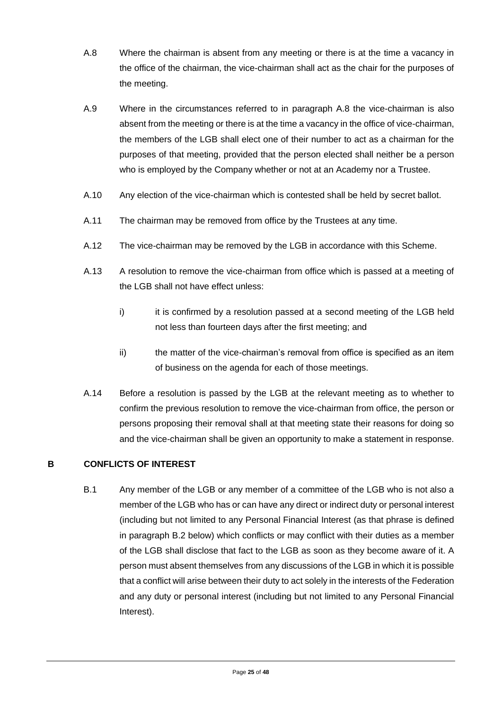- A.8 Where the chairman is absent from any meeting or there is at the time a vacancy in the office of the chairman, the vice-chairman shall act as the chair for the purposes of the meeting.
- A.9 Where in the circumstances referred to in paragraph A.8 the vice-chairman is also absent from the meeting or there is at the time a vacancy in the office of vice-chairman, the members of the LGB shall elect one of their number to act as a chairman for the purposes of that meeting, provided that the person elected shall neither be a person who is employed by the Company whether or not at an Academy nor a Trustee.
- A.10 Any election of the vice-chairman which is contested shall be held by secret ballot.
- A.11 The chairman may be removed from office by the Trustees at any time.
- A.12 The vice-chairman may be removed by the LGB in accordance with this Scheme.
- A.13 A resolution to remove the vice-chairman from office which is passed at a meeting of the LGB shall not have effect unless:
	- i) it is confirmed by a resolution passed at a second meeting of the LGB held not less than fourteen days after the first meeting; and
	- ii) the matter of the vice-chairman's removal from office is specified as an item of business on the agenda for each of those meetings.
- A.14 Before a resolution is passed by the LGB at the relevant meeting as to whether to confirm the previous resolution to remove the vice-chairman from office, the person or persons proposing their removal shall at that meeting state their reasons for doing so and the vice-chairman shall be given an opportunity to make a statement in response.

#### **B CONFLICTS OF INTEREST**

B.1 Any member of the LGB or any member of a committee of the LGB who is not also a member of the LGB who has or can have any direct or indirect duty or personal interest (including but not limited to any Personal Financial Interest (as that phrase is defined in paragraph B.2 below) which conflicts or may conflict with their duties as a member of the LGB shall disclose that fact to the LGB as soon as they become aware of it. A person must absent themselves from any discussions of the LGB in which it is possible that a conflict will arise between their duty to act solely in the interests of the Federation and any duty or personal interest (including but not limited to any Personal Financial Interest).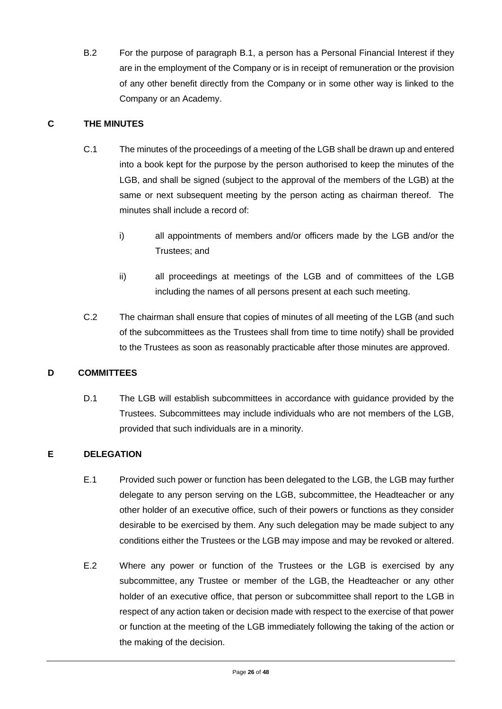B.2 For the purpose of paragraph B.1, a person has a Personal Financial Interest if they are in the employment of the Company or is in receipt of remuneration or the provision of any other benefit directly from the Company or in some other way is linked to the Company or an Academy.

#### **C THE MINUTES**

- C.1 The minutes of the proceedings of a meeting of the LGB shall be drawn up and entered into a book kept for the purpose by the person authorised to keep the minutes of the LGB, and shall be signed (subject to the approval of the members of the LGB) at the same or next subsequent meeting by the person acting as chairman thereof. The minutes shall include a record of:
	- i) all appointments of members and/or officers made by the LGB and/or the Trustees; and
	- ii) all proceedings at meetings of the LGB and of committees of the LGB including the names of all persons present at each such meeting.
- C.2 The chairman shall ensure that copies of minutes of all meeting of the LGB (and such of the subcommittees as the Trustees shall from time to time notify) shall be provided to the Trustees as soon as reasonably practicable after those minutes are approved.

#### **D COMMITTEES**

D.1 The LGB will establish subcommittees in accordance with guidance provided by the Trustees. Subcommittees may include individuals who are not members of the LGB, provided that such individuals are in a minority.

#### **E DELEGATION**

- E.1 Provided such power or function has been delegated to the LGB, the LGB may further delegate to any person serving on the LGB, subcommittee, the Headteacher or any other holder of an executive office, such of their powers or functions as they consider desirable to be exercised by them. Any such delegation may be made subject to any conditions either the Trustees or the LGB may impose and may be revoked or altered.
- E.2 Where any power or function of the Trustees or the LGB is exercised by any subcommittee, any Trustee or member of the LGB, the Headteacher or any other holder of an executive office, that person or subcommittee shall report to the LGB in respect of any action taken or decision made with respect to the exercise of that power or function at the meeting of the LGB immediately following the taking of the action or the making of the decision.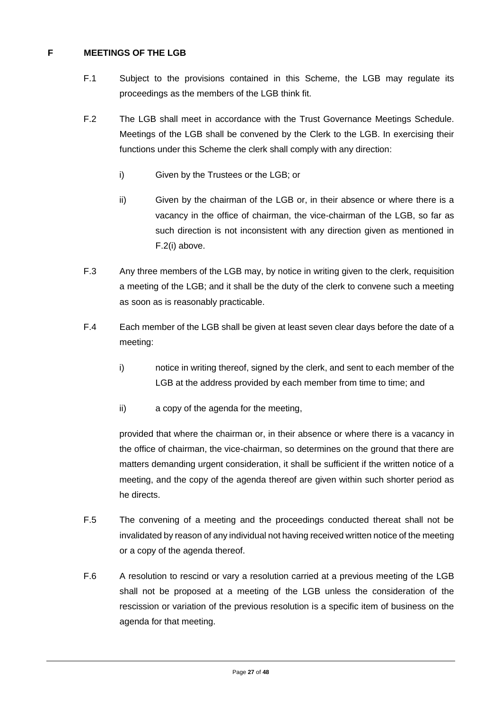#### **F MEETINGS OF THE LGB**

- F.1 Subject to the provisions contained in this Scheme, the LGB may regulate its proceedings as the members of the LGB think fit.
- F.2 The LGB shall meet in accordance with the Trust Governance Meetings Schedule. Meetings of the LGB shall be convened by the Clerk to the LGB. In exercising their functions under this Scheme the clerk shall comply with any direction:
	- i) Given by the Trustees or the LGB; or
	- ii) Given by the chairman of the LGB or, in their absence or where there is a vacancy in the office of chairman, the vice-chairman of the LGB, so far as such direction is not inconsistent with any direction given as mentioned in F.2(i) above.
- F.3 Any three members of the LGB may, by notice in writing given to the clerk, requisition a meeting of the LGB; and it shall be the duty of the clerk to convene such a meeting as soon as is reasonably practicable.
- F.4 Each member of the LGB shall be given at least seven clear days before the date of a meeting:
	- i) notice in writing thereof, signed by the clerk, and sent to each member of the LGB at the address provided by each member from time to time; and
	- ii) a copy of the agenda for the meeting,

provided that where the chairman or, in their absence or where there is a vacancy in the office of chairman, the vice-chairman, so determines on the ground that there are matters demanding urgent consideration, it shall be sufficient if the written notice of a meeting, and the copy of the agenda thereof are given within such shorter period as he directs.

- F.5 The convening of a meeting and the proceedings conducted thereat shall not be invalidated by reason of any individual not having received written notice of the meeting or a copy of the agenda thereof.
- F.6 A resolution to rescind or vary a resolution carried at a previous meeting of the LGB shall not be proposed at a meeting of the LGB unless the consideration of the rescission or variation of the previous resolution is a specific item of business on the agenda for that meeting.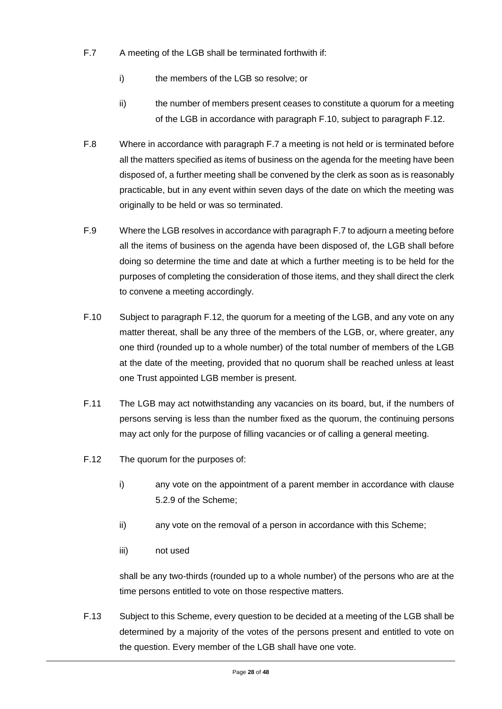- F.7 A meeting of the LGB shall be terminated forthwith if:
	- i) the members of the LGB so resolve; or
	- ii) the number of members present ceases to constitute a quorum for a meeting of the LGB in accordance with paragraph F.10, subject to paragraph F.12.
- F.8 Where in accordance with paragraph F.7 a meeting is not held or is terminated before all the matters specified as items of business on the agenda for the meeting have been disposed of, a further meeting shall be convened by the clerk as soon as is reasonably practicable, but in any event within seven days of the date on which the meeting was originally to be held or was so terminated.
- F.9 Where the LGB resolves in accordance with paragraph F.7 to adjourn a meeting before all the items of business on the agenda have been disposed of, the LGB shall before doing so determine the time and date at which a further meeting is to be held for the purposes of completing the consideration of those items, and they shall direct the clerk to convene a meeting accordingly.
- F.10 Subject to paragraph F.12, the quorum for a meeting of the LGB, and any vote on any matter thereat, shall be any three of the members of the LGB, or, where greater, any one third (rounded up to a whole number) of the total number of members of the LGB at the date of the meeting, provided that no quorum shall be reached unless at least one Trust appointed LGB member is present.
- F.11 The LGB may act notwithstanding any vacancies on its board, but, if the numbers of persons serving is less than the number fixed as the quorum, the continuing persons may act only for the purpose of filling vacancies or of calling a general meeting.
- F.12 The quorum for the purposes of:
	- i) any vote on the appointment of a parent member in accordance with clause 5.2.9 of the Scheme;
	- ii) any vote on the removal of a person in accordance with this Scheme;
	- iii) not used

shall be any two-thirds (rounded up to a whole number) of the persons who are at the time persons entitled to vote on those respective matters.

F.13 Subject to this Scheme, every question to be decided at a meeting of the LGB shall be determined by a majority of the votes of the persons present and entitled to vote on the question. Every member of the LGB shall have one vote.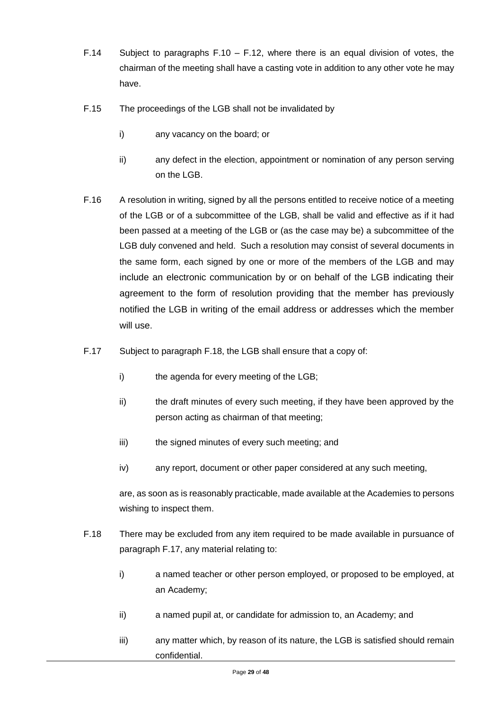- F.14 Subject to paragraphs F.10 F.12, where there is an equal division of votes, the chairman of the meeting shall have a casting vote in addition to any other vote he may have.
- F.15 The proceedings of the LGB shall not be invalidated by
	- i) any vacancy on the board; or
	- ii) any defect in the election, appointment or nomination of any person serving on the LGB.
- F.16 A resolution in writing, signed by all the persons entitled to receive notice of a meeting of the LGB or of a subcommittee of the LGB, shall be valid and effective as if it had been passed at a meeting of the LGB or (as the case may be) a subcommittee of the LGB duly convened and held. Such a resolution may consist of several documents in the same form, each signed by one or more of the members of the LGB and may include an electronic communication by or on behalf of the LGB indicating their agreement to the form of resolution providing that the member has previously notified the LGB in writing of the email address or addresses which the member will use.
- F.17 Subject to paragraph F.18, the LGB shall ensure that a copy of:
	- i) the agenda for every meeting of the LGB;
	- ii) the draft minutes of every such meeting, if they have been approved by the person acting as chairman of that meeting;
	- iii) the signed minutes of every such meeting; and
	- iv) any report, document or other paper considered at any such meeting,

are, as soon as is reasonably practicable, made available at the Academies to persons wishing to inspect them.

- F.18 There may be excluded from any item required to be made available in pursuance of paragraph F.17, any material relating to:
	- i) a named teacher or other person employed, or proposed to be employed, at an Academy;
	- ii) a named pupil at, or candidate for admission to, an Academy; and
	- iii) any matter which, by reason of its nature, the LGB is satisfied should remain confidential.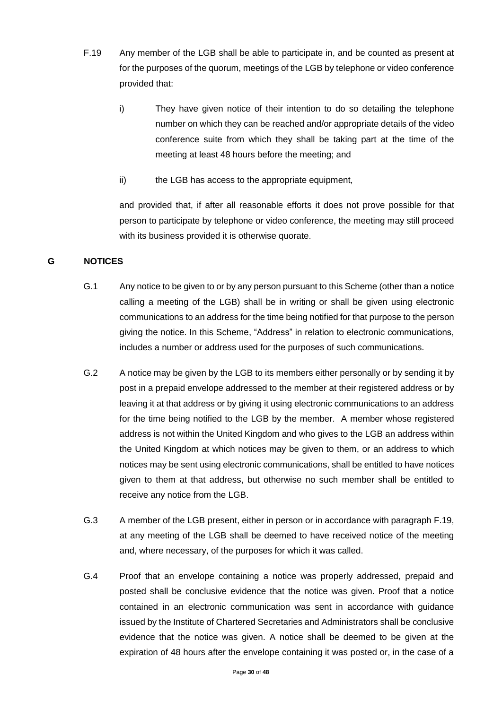- F.19 Any member of the LGB shall be able to participate in, and be counted as present at for the purposes of the quorum, meetings of the LGB by telephone or video conference provided that:
	- i) They have given notice of their intention to do so detailing the telephone number on which they can be reached and/or appropriate details of the video conference suite from which they shall be taking part at the time of the meeting at least 48 hours before the meeting; and
	- ii) the LGB has access to the appropriate equipment,

and provided that, if after all reasonable efforts it does not prove possible for that person to participate by telephone or video conference, the meeting may still proceed with its business provided it is otherwise quorate.

#### **G NOTICES**

- G.1 Any notice to be given to or by any person pursuant to this Scheme (other than a notice calling a meeting of the LGB) shall be in writing or shall be given using electronic communications to an address for the time being notified for that purpose to the person giving the notice. In this Scheme, "Address" in relation to electronic communications, includes a number or address used for the purposes of such communications.
- G.2 A notice may be given by the LGB to its members either personally or by sending it by post in a prepaid envelope addressed to the member at their registered address or by leaving it at that address or by giving it using electronic communications to an address for the time being notified to the LGB by the member. A member whose registered address is not within the United Kingdom and who gives to the LGB an address within the United Kingdom at which notices may be given to them, or an address to which notices may be sent using electronic communications, shall be entitled to have notices given to them at that address, but otherwise no such member shall be entitled to receive any notice from the LGB.
- G.3 A member of the LGB present, either in person or in accordance with paragraph F.19, at any meeting of the LGB shall be deemed to have received notice of the meeting and, where necessary, of the purposes for which it was called.
- G.4 Proof that an envelope containing a notice was properly addressed, prepaid and posted shall be conclusive evidence that the notice was given. Proof that a notice contained in an electronic communication was sent in accordance with guidance issued by the Institute of Chartered Secretaries and Administrators shall be conclusive evidence that the notice was given. A notice shall be deemed to be given at the expiration of 48 hours after the envelope containing it was posted or, in the case of a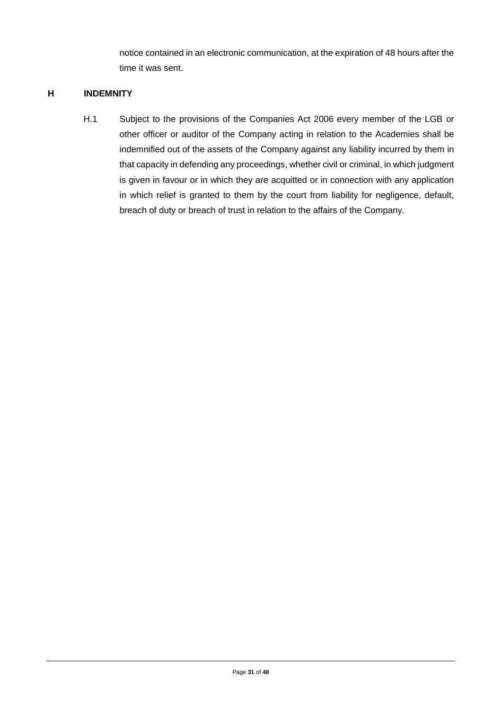notice contained in an electronic communication, at the expiration of 48 hours after the time it was sent.

#### **H INDEMNITY**

H.1 Subject to the provisions of the Companies Act 2006 every member of the LGB or other officer or auditor of the Company acting in relation to the Academies shall be indemnified out of the assets of the Company against any liability incurred by them in that capacity in defending any proceedings, whether civil or criminal, in which judgment is given in favour or in which they are acquitted or in connection with any application in which relief is granted to them by the court from liability for negligence, default, breach of duty or breach of trust in relation to the affairs of the Company.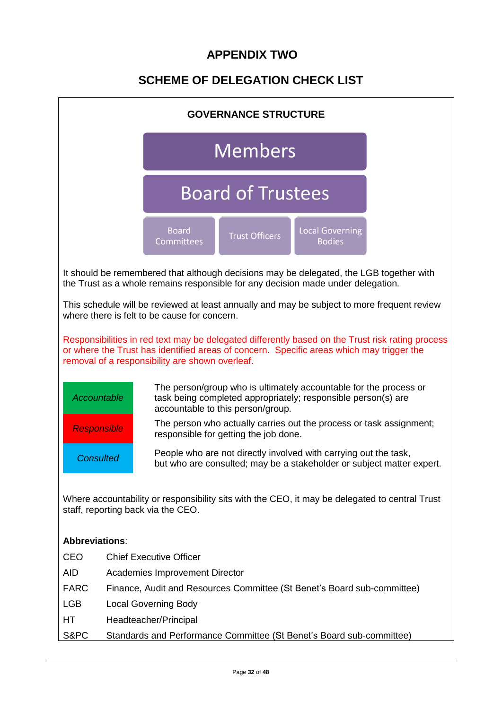# **APPENDIX TWO**

# **SCHEME OF DELEGATION CHECK LIST**

| <b>GOVERNANCE STRUCTURE</b> |                                                                                                                                                                                                                                                 |  |  |  |  |  |  |  |  |  |
|-----------------------------|-------------------------------------------------------------------------------------------------------------------------------------------------------------------------------------------------------------------------------------------------|--|--|--|--|--|--|--|--|--|
|                             | <b>Members</b>                                                                                                                                                                                                                                  |  |  |  |  |  |  |  |  |  |
|                             | <b>Board of Trustees</b>                                                                                                                                                                                                                        |  |  |  |  |  |  |  |  |  |
|                             | <b>Board</b><br><b>Local Governing</b><br><b>Trust Officers</b><br><b>Committees</b><br><b>Bodies</b>                                                                                                                                           |  |  |  |  |  |  |  |  |  |
|                             | It should be remembered that although decisions may be delegated, the LGB together with<br>the Trust as a whole remains responsible for any decision made under delegation.                                                                     |  |  |  |  |  |  |  |  |  |
|                             | This schedule will be reviewed at least annually and may be subject to more frequent review<br>where there is felt to be cause for concern.                                                                                                     |  |  |  |  |  |  |  |  |  |
|                             | Responsibilities in red text may be delegated differently based on the Trust risk rating process<br>or where the Trust has identified areas of concern. Specific areas which may trigger the<br>removal of a responsibility are shown overleaf. |  |  |  |  |  |  |  |  |  |
| <b>Accountable</b>          | The person/group who is ultimately accountable for the process or<br>task being completed appropriately; responsible person(s) are<br>accountable to this person/group.                                                                         |  |  |  |  |  |  |  |  |  |
| <b>Responsible</b>          | The person who actually carries out the process or task assignment;<br>responsible for getting the job done.                                                                                                                                    |  |  |  |  |  |  |  |  |  |
| <b>Consulted</b>            | People who are not directly involved with carrying out the task,<br>but who are consulted; may be a stakeholder or subject matter expert.                                                                                                       |  |  |  |  |  |  |  |  |  |
|                             | Where accountability or responsibility sits with the CEO, it may be delegated to central Trust<br>staff, reporting back via the CEO.                                                                                                            |  |  |  |  |  |  |  |  |  |
| <b>Abbreviations:</b>       |                                                                                                                                                                                                                                                 |  |  |  |  |  |  |  |  |  |
| <b>CEO</b>                  | <b>Chief Executive Officer</b>                                                                                                                                                                                                                  |  |  |  |  |  |  |  |  |  |
| <b>AID</b>                  | Academies Improvement Director                                                                                                                                                                                                                  |  |  |  |  |  |  |  |  |  |
| <b>FARC</b>                 | Finance, Audit and Resources Committee (St Benet's Board sub-committee)                                                                                                                                                                         |  |  |  |  |  |  |  |  |  |
| <b>LGB</b>                  | <b>Local Governing Body</b>                                                                                                                                                                                                                     |  |  |  |  |  |  |  |  |  |
| HТ                          | Headteacher/Principal                                                                                                                                                                                                                           |  |  |  |  |  |  |  |  |  |
| S&PC                        | Standards and Performance Committee (St Benet's Board sub-committee)                                                                                                                                                                            |  |  |  |  |  |  |  |  |  |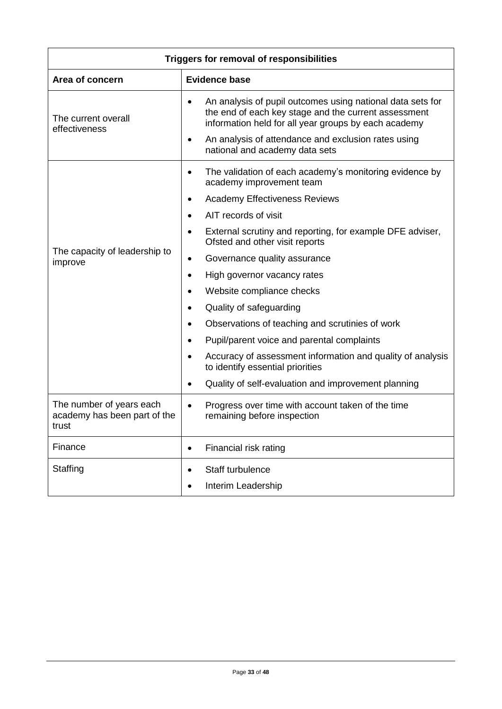| <b>Triggers for removal of responsibilities</b>                   |                                                                                                                                                                                         |  |  |  |  |  |  |  |
|-------------------------------------------------------------------|-----------------------------------------------------------------------------------------------------------------------------------------------------------------------------------------|--|--|--|--|--|--|--|
| Area of concern                                                   | <b>Evidence base</b>                                                                                                                                                                    |  |  |  |  |  |  |  |
| The current overall<br>effectiveness                              | An analysis of pupil outcomes using national data sets for<br>$\bullet$<br>the end of each key stage and the current assessment<br>information held for all year groups by each academy |  |  |  |  |  |  |  |
|                                                                   | An analysis of attendance and exclusion rates using<br>$\bullet$<br>national and academy data sets                                                                                      |  |  |  |  |  |  |  |
|                                                                   | The validation of each academy's monitoring evidence by<br>$\bullet$<br>academy improvement team                                                                                        |  |  |  |  |  |  |  |
|                                                                   | <b>Academy Effectiveness Reviews</b>                                                                                                                                                    |  |  |  |  |  |  |  |
|                                                                   | AIT records of visit                                                                                                                                                                    |  |  |  |  |  |  |  |
|                                                                   | External scrutiny and reporting, for example DFE adviser,<br>$\bullet$<br>Ofsted and other visit reports                                                                                |  |  |  |  |  |  |  |
| The capacity of leadership to<br>improve                          | Governance quality assurance<br>$\bullet$                                                                                                                                               |  |  |  |  |  |  |  |
|                                                                   | High governor vacancy rates<br>$\bullet$                                                                                                                                                |  |  |  |  |  |  |  |
|                                                                   | Website compliance checks                                                                                                                                                               |  |  |  |  |  |  |  |
|                                                                   | Quality of safeguarding<br>$\bullet$                                                                                                                                                    |  |  |  |  |  |  |  |
|                                                                   | Observations of teaching and scrutinies of work                                                                                                                                         |  |  |  |  |  |  |  |
|                                                                   | Pupil/parent voice and parental complaints                                                                                                                                              |  |  |  |  |  |  |  |
|                                                                   | Accuracy of assessment information and quality of analysis<br>to identify essential priorities                                                                                          |  |  |  |  |  |  |  |
|                                                                   | Quality of self-evaluation and improvement planning                                                                                                                                     |  |  |  |  |  |  |  |
| The number of years each<br>academy has been part of the<br>trust | Progress over time with account taken of the time<br>$\bullet$<br>remaining before inspection                                                                                           |  |  |  |  |  |  |  |
| Finance                                                           | Financial risk rating<br>$\bullet$                                                                                                                                                      |  |  |  |  |  |  |  |
| Staffing                                                          | Staff turbulence<br>$\bullet$                                                                                                                                                           |  |  |  |  |  |  |  |
|                                                                   | Interim Leadership<br>$\bullet$                                                                                                                                                         |  |  |  |  |  |  |  |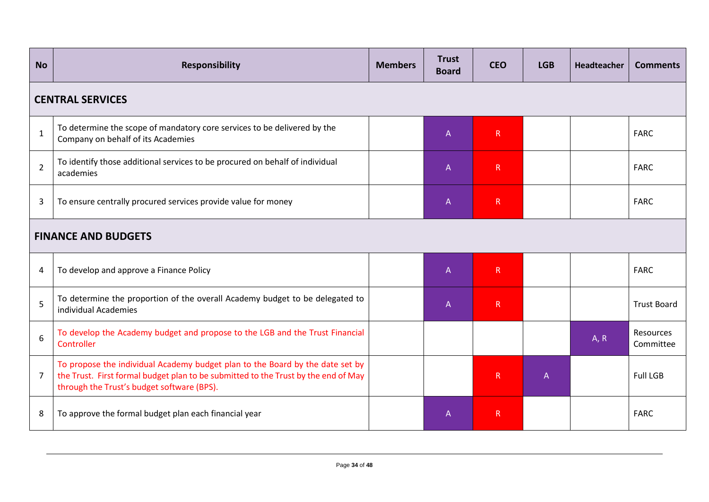| <b>No</b>      | Responsibility                                                                                                                                                                                                    | <b>Members</b> | <b>Trust</b><br><b>Board</b> | <b>CEO</b>   | <b>LGB</b>     | Headteacher | <b>Comments</b>        |  |  |  |
|----------------|-------------------------------------------------------------------------------------------------------------------------------------------------------------------------------------------------------------------|----------------|------------------------------|--------------|----------------|-------------|------------------------|--|--|--|
|                | <b>CENTRAL SERVICES</b>                                                                                                                                                                                           |                |                              |              |                |             |                        |  |  |  |
| $\mathbf{1}$   | To determine the scope of mandatory core services to be delivered by the<br>Company on behalf of its Academies                                                                                                    |                | $\mathsf{A}$                 | R            |                |             | <b>FARC</b>            |  |  |  |
| $\overline{2}$ | To identify those additional services to be procured on behalf of individual<br>academies                                                                                                                         |                | $\overline{A}$               | R            |                |             | <b>FARC</b>            |  |  |  |
| 3              | To ensure centrally procured services provide value for money                                                                                                                                                     |                | $\mathsf{A}$                 | $\mathsf{R}$ |                |             | <b>FARC</b>            |  |  |  |
|                | <b>FINANCE AND BUDGETS</b>                                                                                                                                                                                        |                |                              |              |                |             |                        |  |  |  |
| 4              | To develop and approve a Finance Policy                                                                                                                                                                           |                | $\overline{A}$               | $\mathsf{R}$ |                |             | <b>FARC</b>            |  |  |  |
| 5              | To determine the proportion of the overall Academy budget to be delegated to<br>individual Academies                                                                                                              |                | $\mathsf{A}$                 | $\mathsf{R}$ |                |             | <b>Trust Board</b>     |  |  |  |
| 6              | To develop the Academy budget and propose to the LGB and the Trust Financial<br>Controller                                                                                                                        |                |                              |              |                | A, R        | Resources<br>Committee |  |  |  |
| $\overline{7}$ | To propose the individual Academy budget plan to the Board by the date set by<br>the Trust. First formal budget plan to be submitted to the Trust by the end of May<br>through the Trust's budget software (BPS). |                |                              | R            | $\overline{A}$ |             | <b>Full LGB</b>        |  |  |  |
| 8              | To approve the formal budget plan each financial year                                                                                                                                                             |                | $\mathsf{A}$                 | $\mathsf{R}$ |                |             | <b>FARC</b>            |  |  |  |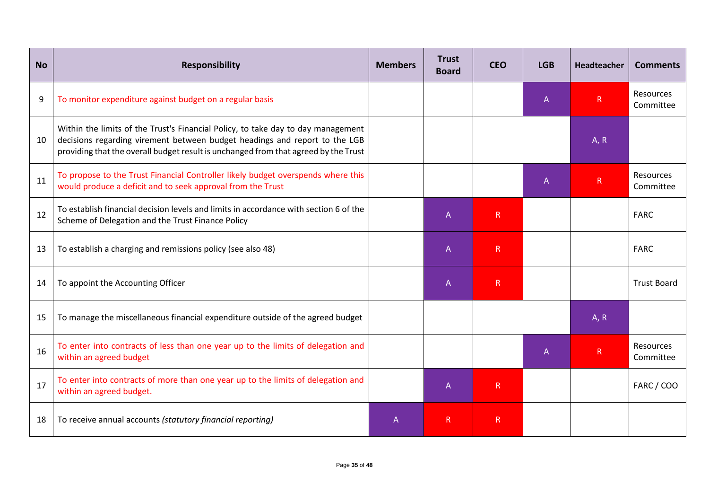| <b>No</b>        | <b>Responsibility</b>                                                                                                                                                                                                                                 | <b>Members</b> | <b>Trust</b><br><b>Board</b> | <b>CEO</b>   | <b>LGB</b> | Headteacher  | <b>Comments</b>        |
|------------------|-------------------------------------------------------------------------------------------------------------------------------------------------------------------------------------------------------------------------------------------------------|----------------|------------------------------|--------------|------------|--------------|------------------------|
| $\boldsymbol{9}$ | To monitor expenditure against budget on a regular basis                                                                                                                                                                                              |                |                              |              | A          | $\mathsf R$  | Resources<br>Committee |
| 10               | Within the limits of the Trust's Financial Policy, to take day to day management<br>decisions regarding virement between budget headings and report to the LGB<br>providing that the overall budget result is unchanged from that agreed by the Trust |                |                              |              |            | A, R         |                        |
| 11               | To propose to the Trust Financial Controller likely budget overspends where this<br>would produce a deficit and to seek approval from the Trust                                                                                                       |                |                              |              | A          | $\mathsf{R}$ | Resources<br>Committee |
| 12               | To establish financial decision levels and limits in accordance with section 6 of the<br>Scheme of Delegation and the Trust Finance Policy                                                                                                            |                | $\mathsf{A}$                 | R            |            |              | <b>FARC</b>            |
| 13               | To establish a charging and remissions policy (see also 48)                                                                                                                                                                                           |                | $\mathsf{A}$                 | R            |            |              | <b>FARC</b>            |
| 14               | To appoint the Accounting Officer                                                                                                                                                                                                                     |                | $\mathsf{A}$                 | R            |            |              | <b>Trust Board</b>     |
| 15               | To manage the miscellaneous financial expenditure outside of the agreed budget                                                                                                                                                                        |                |                              |              |            | A, R         |                        |
| 16               | To enter into contracts of less than one year up to the limits of delegation and<br>within an agreed budget                                                                                                                                           |                |                              |              | A          | $\mathsf{R}$ | Resources<br>Committee |
| 17               | To enter into contracts of more than one year up to the limits of delegation and<br>within an agreed budget.                                                                                                                                          |                | $\mathsf{A}$                 | $\mathsf{R}$ |            |              | FARC / COO             |
| 18               | To receive annual accounts (statutory financial reporting)                                                                                                                                                                                            | A              | $\mathsf{R}$                 | $\mathsf{R}$ |            |              |                        |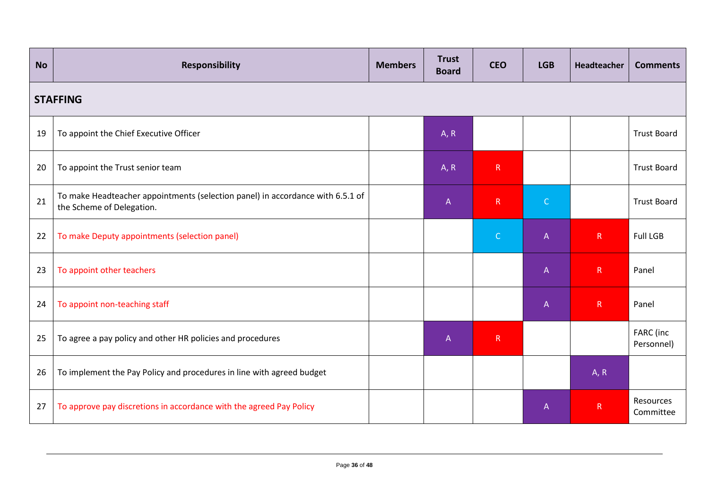| <b>No</b>       | <b>Responsibility</b>                                                                                       | <b>Members</b> | <b>Trust</b><br><b>Board</b> | <b>CEO</b>   | <b>LGB</b>   | Headteacher  | <b>Comments</b>         |  |  |
|-----------------|-------------------------------------------------------------------------------------------------------------|----------------|------------------------------|--------------|--------------|--------------|-------------------------|--|--|
| <b>STAFFING</b> |                                                                                                             |                |                              |              |              |              |                         |  |  |
| 19              | To appoint the Chief Executive Officer                                                                      |                | A, R                         |              |              |              | <b>Trust Board</b>      |  |  |
| 20              | To appoint the Trust senior team                                                                            |                | A, R                         | R            |              |              | <b>Trust Board</b>      |  |  |
| 21              | To make Headteacher appointments (selection panel) in accordance with 6.5.1 of<br>the Scheme of Delegation. |                | $\mathsf{A}$                 | R            | $\mathsf{C}$ |              | <b>Trust Board</b>      |  |  |
| 22              | To make Deputy appointments (selection panel)                                                               |                |                              | $\mathsf{C}$ | $\mathsf{A}$ | R            | <b>Full LGB</b>         |  |  |
| 23              | To appoint other teachers                                                                                   |                |                              |              | $\mathsf{A}$ | R            | Panel                   |  |  |
| 24              | To appoint non-teaching staff                                                                               |                |                              |              | $\mathsf{A}$ | R            | Panel                   |  |  |
| 25              | To agree a pay policy and other HR policies and procedures                                                  |                | $\overline{A}$               | R            |              |              | FARC (inc<br>Personnel) |  |  |
| 26              | To implement the Pay Policy and procedures in line with agreed budget                                       |                |                              |              |              | A, R         |                         |  |  |
| 27              | To approve pay discretions in accordance with the agreed Pay Policy                                         |                |                              |              | $\mathsf{A}$ | $\mathsf{R}$ | Resources<br>Committee  |  |  |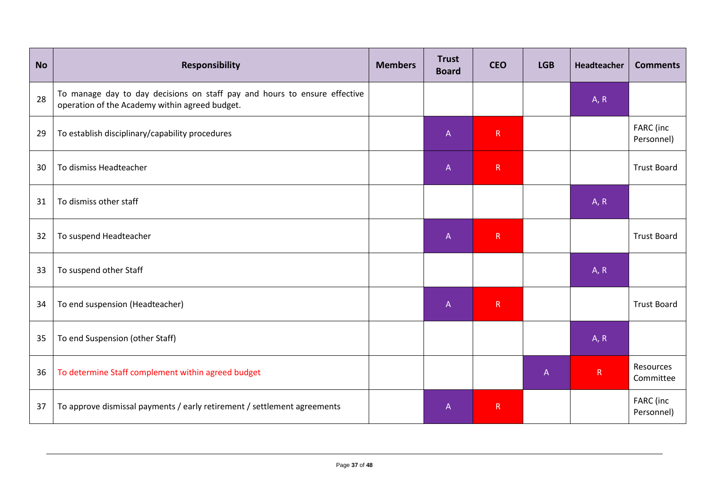| <b>No</b> | Responsibility                                                                                                              | <b>Members</b> | <b>Trust</b><br><b>Board</b> | <b>CEO</b>   | <b>LGB</b>   | Headteacher | <b>Comments</b>         |
|-----------|-----------------------------------------------------------------------------------------------------------------------------|----------------|------------------------------|--------------|--------------|-------------|-------------------------|
| 28        | To manage day to day decisions on staff pay and hours to ensure effective<br>operation of the Academy within agreed budget. |                |                              |              |              | A, R        |                         |
| 29        | To establish disciplinary/capability procedures                                                                             |                | $\overline{A}$               | R            |              |             | FARC (inc<br>Personnel) |
| 30        | To dismiss Headteacher                                                                                                      |                | $\overline{A}$               | R            |              |             | <b>Trust Board</b>      |
| 31        | To dismiss other staff                                                                                                      |                |                              |              |              | A, R        |                         |
| 32        | To suspend Headteacher                                                                                                      |                | $\mathsf{A}$                 | $\mathsf{R}$ |              |             | <b>Trust Board</b>      |
| 33        | To suspend other Staff                                                                                                      |                |                              |              |              | A, R        |                         |
| 34        | To end suspension (Headteacher)                                                                                             |                | $\mathsf A$                  | ${\sf R}$    |              |             | <b>Trust Board</b>      |
| 35        | To end Suspension (other Staff)                                                                                             |                |                              |              |              | A, R        |                         |
| 36        | To determine Staff complement within agreed budget                                                                          |                |                              |              | $\mathsf{A}$ | R           | Resources<br>Committee  |
| 37        | To approve dismissal payments / early retirement / settlement agreements                                                    |                | $\overline{A}$               | R            |              |             | FARC (inc<br>Personnel) |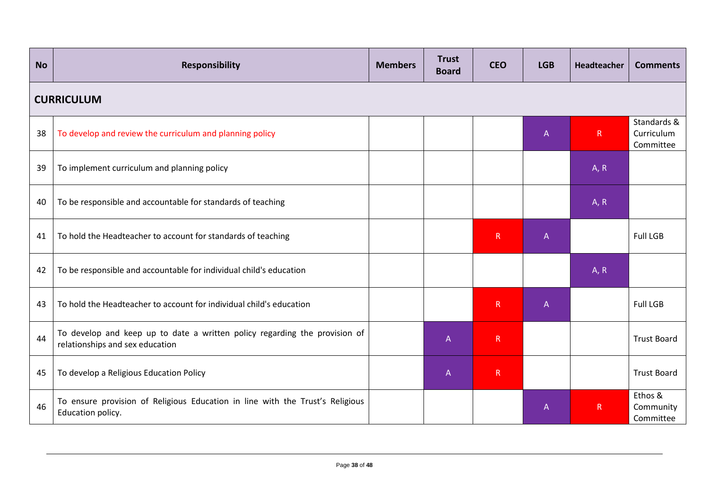| <b>No</b> | <b>Responsibility</b>                                                                                         | <b>Members</b> | <b>Trust</b><br><b>Board</b> | <b>CEO</b>  | <b>LGB</b>   | Headteacher  | <b>Comments</b>                        |  |  |  |
|-----------|---------------------------------------------------------------------------------------------------------------|----------------|------------------------------|-------------|--------------|--------------|----------------------------------------|--|--|--|
|           | <b>CURRICULUM</b>                                                                                             |                |                              |             |              |              |                                        |  |  |  |
| 38        | To develop and review the curriculum and planning policy                                                      |                |                              |             | $\mathsf A$  | $\mathsf{R}$ | Standards &<br>Curriculum<br>Committee |  |  |  |
| 39        | To implement curriculum and planning policy                                                                   |                |                              |             |              | A, R         |                                        |  |  |  |
| 40        | To be responsible and accountable for standards of teaching                                                   |                |                              |             |              | A, R         |                                        |  |  |  |
| 41        | To hold the Headteacher to account for standards of teaching                                                  |                |                              | R           | $\mathsf{A}$ |              | <b>Full LGB</b>                        |  |  |  |
| 42        | To be responsible and accountable for individual child's education                                            |                |                              |             |              | A, R         |                                        |  |  |  |
| 43        | To hold the Headteacher to account for individual child's education                                           |                |                              | R           | $\mathsf{A}$ |              | <b>Full LGB</b>                        |  |  |  |
| 44        | To develop and keep up to date a written policy regarding the provision of<br>relationships and sex education |                | $\overline{A}$               | $\mathsf R$ |              |              | <b>Trust Board</b>                     |  |  |  |
| 45        | To develop a Religious Education Policy                                                                       |                | $\mathsf{A}$                 | R           |              |              | <b>Trust Board</b>                     |  |  |  |
| 46        | To ensure provision of Religious Education in line with the Trust's Religious<br>Education policy.            |                |                              |             | $\mathsf{A}$ | $\mathsf R$  | Ethos &<br>Community<br>Committee      |  |  |  |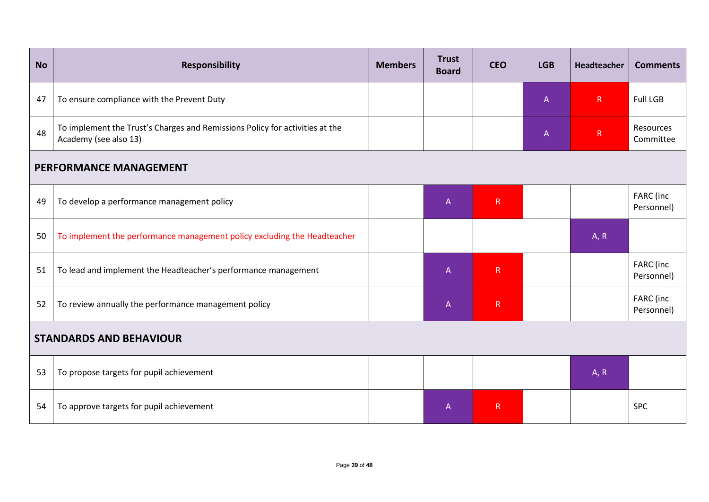| <b>No</b> | <b>Responsibility</b>                                                                                 | <b>Members</b> | <b>Trust</b><br><b>Board</b> | <b>CEO</b>   | <b>LGB</b>   | Headteacher  | <b>Comments</b>         |
|-----------|-------------------------------------------------------------------------------------------------------|----------------|------------------------------|--------------|--------------|--------------|-------------------------|
| 47        | To ensure compliance with the Prevent Duty                                                            |                |                              |              | $\mathsf{A}$ | R            | <b>Full LGB</b>         |
| 48        | To implement the Trust's Charges and Remissions Policy for activities at the<br>Academy (see also 13) |                |                              |              | $\mathsf{A}$ | $\mathsf{R}$ | Resources<br>Committee  |
|           | <b>PERFORMANCE MANAGEMENT</b>                                                                         |                |                              |              |              |              |                         |
| 49        | To develop a performance management policy                                                            |                | $\overline{A}$               | R            |              |              | FARC (inc<br>Personnel) |
| 50        | To implement the performance management policy excluding the Headteacher                              |                |                              |              |              | A, R         |                         |
| 51        | To lead and implement the Headteacher's performance management                                        |                | $\mathsf{A}$                 | $\mathsf{R}$ |              |              | FARC (inc<br>Personnel) |
| 52        | To review annually the performance management policy                                                  |                | $\overline{A}$               | R            |              |              | FARC (inc<br>Personnel) |
|           | <b>STANDARDS AND BEHAVIOUR</b>                                                                        |                |                              |              |              |              |                         |
| 53        | To propose targets for pupil achievement                                                              |                |                              |              |              | A, R         |                         |
| 54        | To approve targets for pupil achievement                                                              |                | $\overline{A}$               | R            |              |              | <b>SPC</b>              |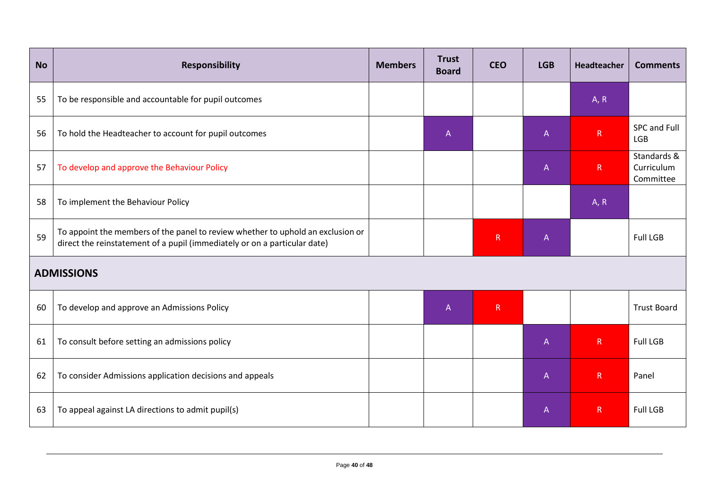| <b>No</b> | Responsibility                                                                                                                                               | <b>Members</b> | <b>Trust</b><br><b>Board</b> | <b>CEO</b>  | <b>LGB</b>     | Headteacher  | <b>Comments</b>                        |
|-----------|--------------------------------------------------------------------------------------------------------------------------------------------------------------|----------------|------------------------------|-------------|----------------|--------------|----------------------------------------|
| 55        | To be responsible and accountable for pupil outcomes                                                                                                         |                |                              |             |                | A, R         |                                        |
| 56        | To hold the Headteacher to account for pupil outcomes                                                                                                        |                | $\mathsf{A}$                 |             | $\mathsf{A}$   | $\mathsf{R}$ | SPC and Full<br><b>LGB</b>             |
| 57        | To develop and approve the Behaviour Policy                                                                                                                  |                |                              |             | $\mathsf{A}$   | R            | Standards &<br>Curriculum<br>Committee |
| 58        | To implement the Behaviour Policy                                                                                                                            |                |                              |             |                | A, R         |                                        |
| 59        | To appoint the members of the panel to review whether to uphold an exclusion or<br>direct the reinstatement of a pupil (immediately or on a particular date) |                |                              | $\mathsf R$ | $\mathsf{A}$   |              | <b>Full LGB</b>                        |
|           | <b>ADMISSIONS</b>                                                                                                                                            |                |                              |             |                |              |                                        |
| 60        | To develop and approve an Admissions Policy                                                                                                                  |                | $\overline{A}$               | R           |                |              | <b>Trust Board</b>                     |
| 61        | To consult before setting an admissions policy                                                                                                               |                |                              |             | $\overline{A}$ | R            | <b>Full LGB</b>                        |
| 62        | To consider Admissions application decisions and appeals                                                                                                     |                |                              |             | $\mathsf{A}$   | $\mathsf{R}$ | Panel                                  |
| 63        | To appeal against LA directions to admit pupil(s)                                                                                                            |                |                              |             | $\mathsf{A}$   | $\mathsf{R}$ | <b>Full LGB</b>                        |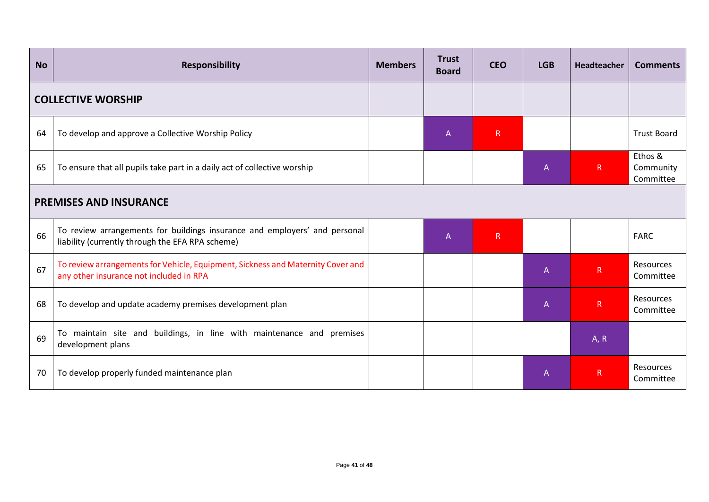| <b>No</b>                 | <b>Responsibility</b>                                                                                                          | <b>Members</b> | <b>Trust</b><br><b>Board</b> | <b>CEO</b>  | <b>LGB</b>   | Headteacher  | <b>Comments</b>                   |
|---------------------------|--------------------------------------------------------------------------------------------------------------------------------|----------------|------------------------------|-------------|--------------|--------------|-----------------------------------|
| <b>COLLECTIVE WORSHIP</b> |                                                                                                                                |                |                              |             |              |              |                                   |
| 64                        | To develop and approve a Collective Worship Policy                                                                             |                | $\mathsf{A}$                 | R           |              |              | <b>Trust Board</b>                |
| 65                        | To ensure that all pupils take part in a daily act of collective worship                                                       |                |                              |             | $\mathsf{A}$ | $\mathsf{R}$ | Ethos &<br>Community<br>Committee |
|                           | <b>PREMISES AND INSURANCE</b>                                                                                                  |                |                              |             |              |              |                                   |
| 66                        | To review arrangements for buildings insurance and employers' and personal<br>liability (currently through the EFA RPA scheme) |                | $\mathsf{A}$                 | $\mathsf R$ |              |              | <b>FARC</b>                       |
| 67                        | To review arrangements for Vehicle, Equipment, Sickness and Maternity Cover and<br>any other insurance not included in RPA     |                |                              |             | $\mathsf{A}$ | $\mathsf{R}$ | <b>Resources</b><br>Committee     |
| 68                        | To develop and update academy premises development plan                                                                        |                |                              |             | $\mathsf{A}$ | $\mathsf{R}$ | Resources<br>Committee            |
| 69                        | To maintain site and buildings, in line with maintenance and premises<br>development plans                                     |                |                              |             |              | A, R         |                                   |
| 70                        | To develop properly funded maintenance plan                                                                                    |                |                              |             | $\mathsf{A}$ | R            | Resources<br>Committee            |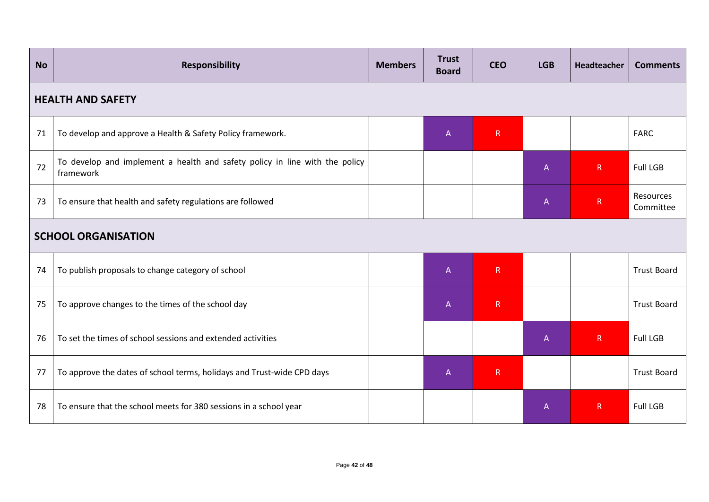| <b>No</b> | <b>Responsibility</b>                                                                    | <b>Members</b> | <b>Trust</b><br><b>Board</b> | <b>CEO</b> | <b>LGB</b>   | Headteacher  | <b>Comments</b>        |  |  |
|-----------|------------------------------------------------------------------------------------------|----------------|------------------------------|------------|--------------|--------------|------------------------|--|--|
|           | <b>HEALTH AND SAFETY</b>                                                                 |                |                              |            |              |              |                        |  |  |
| 71        | To develop and approve a Health & Safety Policy framework.                               |                | $\overline{A}$               | R          |              |              | <b>FARC</b>            |  |  |
| 72        | To develop and implement a health and safety policy in line with the policy<br>framework |                |                              |            | $\mathsf{A}$ | $\mathsf{R}$ | <b>Full LGB</b>        |  |  |
| 73        | To ensure that health and safety regulations are followed                                |                |                              |            | $\mathsf{A}$ | $\mathsf{R}$ | Resources<br>Committee |  |  |
|           | <b>SCHOOL ORGANISATION</b>                                                               |                |                              |            |              |              |                        |  |  |
| 74        | To publish proposals to change category of school                                        |                | $\overline{A}$               | R          |              |              | <b>Trust Board</b>     |  |  |
| 75        | To approve changes to the times of the school day                                        |                | $\boldsymbol{\mathsf{A}}$    | R          |              |              | <b>Trust Board</b>     |  |  |
| 76        | To set the times of school sessions and extended activities                              |                |                              |            | $\mathsf{A}$ | $\mathsf{R}$ | <b>Full LGB</b>        |  |  |
| 77        | To approve the dates of school terms, holidays and Trust-wide CPD days                   |                | $\overline{A}$               | R          |              |              | <b>Trust Board</b>     |  |  |
| 78        | To ensure that the school meets for 380 sessions in a school year                        |                |                              |            | $\mathsf{A}$ | $\mathsf{R}$ | <b>Full LGB</b>        |  |  |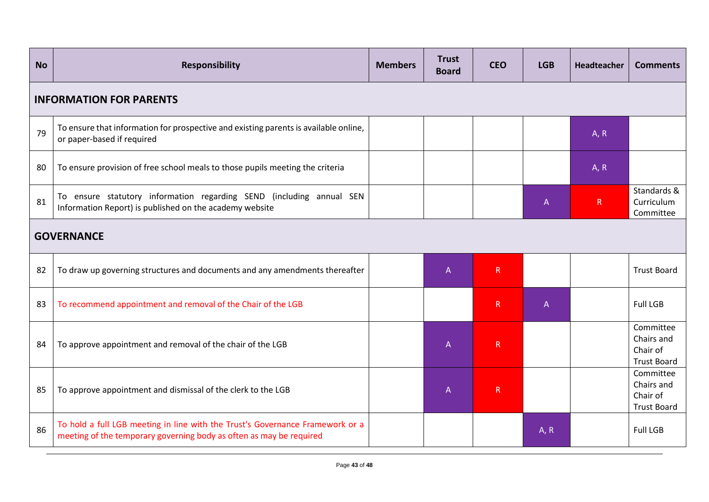| <b>No</b> | <b>Responsibility</b>                                                                                                                                | <b>Members</b> | <b>Trust</b><br><b>Board</b> | <b>CEO</b>   | <b>LGB</b> | Headteacher  | <b>Comments</b>                                           |  |
|-----------|------------------------------------------------------------------------------------------------------------------------------------------------------|----------------|------------------------------|--------------|------------|--------------|-----------------------------------------------------------|--|
|           | <b>INFORMATION FOR PARENTS</b>                                                                                                                       |                |                              |              |            |              |                                                           |  |
| 79        | To ensure that information for prospective and existing parents is available online,<br>or paper-based if required                                   |                |                              |              |            | A, R         |                                                           |  |
| 80        | To ensure provision of free school meals to those pupils meeting the criteria                                                                        |                |                              |              |            | A, R         |                                                           |  |
| 81        | To ensure statutory information regarding SEND (including annual SEN<br>Information Report) is published on the academy website                      |                |                              |              | A          | $\mathsf{R}$ | Standards &<br>Curriculum<br>Committee                    |  |
|           | <b>GOVERNANCE</b>                                                                                                                                    |                |                              |              |            |              |                                                           |  |
| 82        | To draw up governing structures and documents and any amendments thereafter                                                                          |                | $\overline{A}$               | $\mathsf{R}$ |            |              | <b>Trust Board</b>                                        |  |
| 83        | To recommend appointment and removal of the Chair of the LGB                                                                                         |                |                              | R            | A          |              | <b>Full LGB</b>                                           |  |
| 84        | To approve appointment and removal of the chair of the LGB                                                                                           |                | $\overline{A}$               | $\mathsf{R}$ |            |              | Committee<br>Chairs and<br>Chair of<br><b>Trust Board</b> |  |
| 85        | To approve appointment and dismissal of the clerk to the LGB                                                                                         |                | $\overline{A}$               | $\mathsf R$  |            |              | Committee<br>Chairs and<br>Chair of<br><b>Trust Board</b> |  |
| 86        | To hold a full LGB meeting in line with the Trust's Governance Framework or a<br>meeting of the temporary governing body as often as may be required |                |                              |              | A, R       |              | <b>Full LGB</b>                                           |  |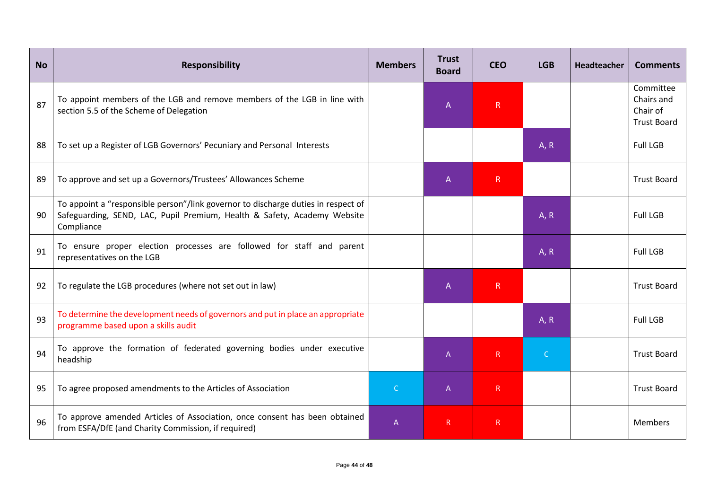| <b>No</b> | <b>Responsibility</b>                                                                                                                                                       | <b>Members</b> | <b>Trust</b><br><b>Board</b> | <b>CEO</b> | <b>LGB</b>   | Headteacher | <b>Comments</b>                                           |
|-----------|-----------------------------------------------------------------------------------------------------------------------------------------------------------------------------|----------------|------------------------------|------------|--------------|-------------|-----------------------------------------------------------|
| 87        | To appoint members of the LGB and remove members of the LGB in line with<br>section 5.5 of the Scheme of Delegation                                                         |                | A                            | R          |              |             | Committee<br>Chairs and<br>Chair of<br><b>Trust Board</b> |
| 88        | To set up a Register of LGB Governors' Pecuniary and Personal Interests                                                                                                     |                |                              |            | A, R         |             | <b>Full LGB</b>                                           |
| 89        | To approve and set up a Governors/Trustees' Allowances Scheme                                                                                                               |                | $\mathsf{A}$                 | R          |              |             | <b>Trust Board</b>                                        |
| 90        | To appoint a "responsible person"/link governor to discharge duties in respect of<br>Safeguarding, SEND, LAC, Pupil Premium, Health & Safety, Academy Website<br>Compliance |                |                              |            | A, R         |             | <b>Full LGB</b>                                           |
| 91        | To ensure proper election processes are followed for staff and parent<br>representatives on the LGB                                                                         |                |                              |            | A, R         |             | <b>Full LGB</b>                                           |
| 92        | To regulate the LGB procedures (where not set out in law)                                                                                                                   |                | $\mathsf{A}$                 | R.         |              |             | <b>Trust Board</b>                                        |
| 93        | To determine the development needs of governors and put in place an appropriate<br>programme based upon a skills audit                                                      |                |                              |            | A, R         |             | <b>Full LGB</b>                                           |
| 94        | To approve the formation of federated governing bodies under executive<br>headship                                                                                          |                | $\overline{A}$               | R          | $\mathsf{C}$ |             | <b>Trust Board</b>                                        |
| 95        | To agree proposed amendments to the Articles of Association                                                                                                                 | $\mathsf{C}$   | $\overline{A}$               | R          |              |             | <b>Trust Board</b>                                        |
| 96        | To approve amended Articles of Association, once consent has been obtained<br>from ESFA/DfE (and Charity Commission, if required)                                           | $\overline{A}$ | $\mathsf{R}$                 | R          |              |             | <b>Members</b>                                            |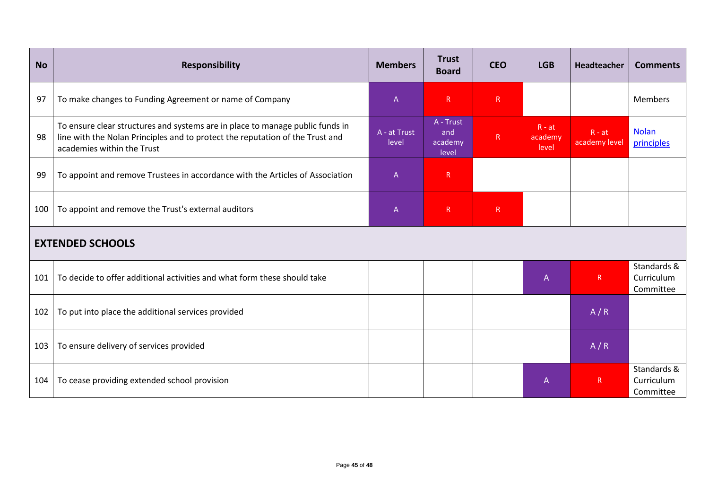| <b>No</b> | <b>Responsibility</b>                                                                                                                                                                        | <b>Members</b>        | <b>Trust</b><br><b>Board</b>         | <b>CEO</b> | <b>LGB</b>                   | Headteacher               | <b>Comments</b>                        |  |
|-----------|----------------------------------------------------------------------------------------------------------------------------------------------------------------------------------------------|-----------------------|--------------------------------------|------------|------------------------------|---------------------------|----------------------------------------|--|
| 97        | To make changes to Funding Agreement or name of Company                                                                                                                                      | A                     | R                                    | ${\sf R}$  |                              |                           | <b>Members</b>                         |  |
| 98        | To ensure clear structures and systems are in place to manage public funds in<br>line with the Nolan Principles and to protect the reputation of the Trust and<br>academies within the Trust | A - at Trust<br>level | A - Trust<br>and<br>academy<br>level | R          | $R - at$<br>academy<br>level | $R - at$<br>academy level | <b>Nolan</b><br>principles             |  |
| 99        | To appoint and remove Trustees in accordance with the Articles of Association                                                                                                                | A                     | $\mathsf{R}$                         |            |                              |                           |                                        |  |
| 100       | To appoint and remove the Trust's external auditors                                                                                                                                          | A                     | ${\sf R}$                            | ${\sf R}$  |                              |                           |                                        |  |
|           | <b>EXTENDED SCHOOLS</b>                                                                                                                                                                      |                       |                                      |            |                              |                           |                                        |  |
| 101       | To decide to offer additional activities and what form these should take                                                                                                                     |                       |                                      |            | $\mathsf{A}$                 | $\mathsf{R}$              | Standards &<br>Curriculum<br>Committee |  |
| 102       | To put into place the additional services provided                                                                                                                                           |                       |                                      |            |                              | A/R                       |                                        |  |
| 103       | To ensure delivery of services provided                                                                                                                                                      |                       |                                      |            |                              | A/R                       |                                        |  |
| 104       | To cease providing extended school provision                                                                                                                                                 |                       |                                      |            | $\mathsf{A}$                 | $\mathsf{R}$              | Standards &<br>Curriculum<br>Committee |  |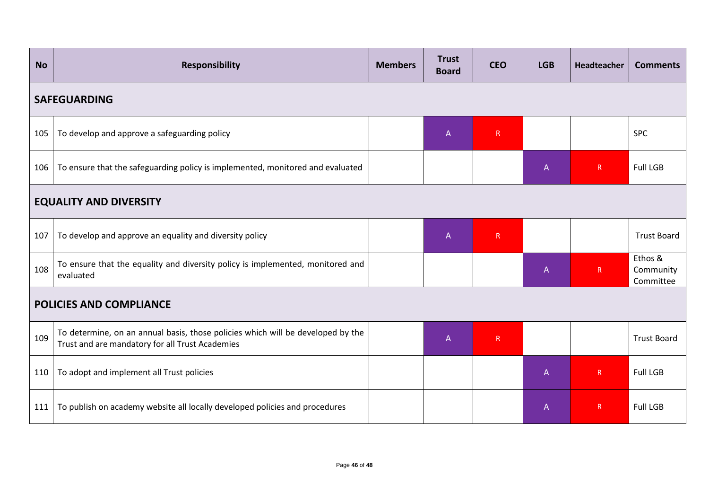| <b>No</b>                     | <b>Responsibility</b>                                                                                                              | <b>Members</b> | <b>Trust</b><br><b>Board</b>                                          | <b>CEO</b> | <b>LGB</b>     | <b>Headteacher</b> | <b>Comments</b>                   |  |
|-------------------------------|------------------------------------------------------------------------------------------------------------------------------------|----------------|-----------------------------------------------------------------------|------------|----------------|--------------------|-----------------------------------|--|
|                               | <b>SAFEGUARDING</b>                                                                                                                |                |                                                                       |            |                |                    |                                   |  |
| 105                           | To develop and approve a safeguarding policy                                                                                       |                | $\mathsf{A}$                                                          | R          |                |                    | <b>SPC</b>                        |  |
| 106                           | To ensure that the safeguarding policy is implemented, monitored and evaluated                                                     |                |                                                                       |            | $\overline{A}$ | $\mathsf{R}$       | <b>Full LGB</b>                   |  |
| <b>EQUALITY AND DIVERSITY</b> |                                                                                                                                    |                |                                                                       |            |                |                    |                                   |  |
| 107                           | To develop and approve an equality and diversity policy                                                                            |                | $\mathsf{A}% _{\mathsf{A}}^{\prime}=\mathsf{A}_{\mathsf{A}}^{\prime}$ | R          |                |                    | <b>Trust Board</b>                |  |
| 108                           | To ensure that the equality and diversity policy is implemented, monitored and<br>evaluated                                        |                |                                                                       |            | $\mathsf{A}$   | R                  | Ethos &<br>Community<br>Committee |  |
|                               | <b>POLICIES AND COMPLIANCE</b>                                                                                                     |                |                                                                       |            |                |                    |                                   |  |
| 109                           | To determine, on an annual basis, those policies which will be developed by the<br>Trust and are mandatory for all Trust Academies |                | $\mathsf{A}$                                                          | R          |                |                    | <b>Trust Board</b>                |  |
| 110                           | To adopt and implement all Trust policies                                                                                          |                |                                                                       |            | $\mathsf{A}$   | $\mathsf{R}$       | <b>Full LGB</b>                   |  |
| 111                           | To publish on academy website all locally developed policies and procedures                                                        |                |                                                                       |            | $\mathsf{A}$   | $\mathsf R$        | <b>Full LGB</b>                   |  |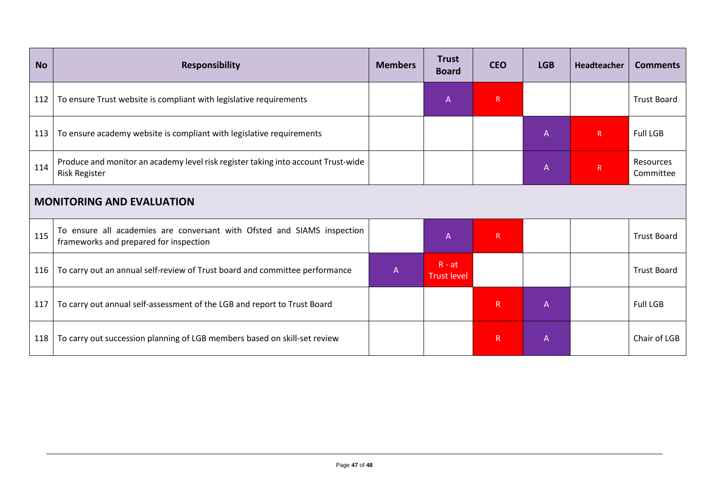| <b>No</b> | <b>Responsibility</b>                                                                                             | <b>Members</b> | <b>Trust</b><br><b>Board</b>   | <b>CEO</b>   | <b>LGB</b>   | Headteacher    | <b>Comments</b>        |  |
|-----------|-------------------------------------------------------------------------------------------------------------------|----------------|--------------------------------|--------------|--------------|----------------|------------------------|--|
| 112       | To ensure Trust website is compliant with legislative requirements                                                |                | $\mathsf{A}$                   | $\mathsf{R}$ |              |                | <b>Trust Board</b>     |  |
| 113       | To ensure academy website is compliant with legislative requirements                                              |                |                                |              | $\mathsf{A}$ | $\mathsf{R}$   | <b>Full LGB</b>        |  |
| 114       | Produce and monitor an academy level risk register taking into account Trust-wide<br><b>Risk Register</b>         |                |                                |              | $\mathsf{A}$ | $\overline{R}$ | Resources<br>Committee |  |
|           | <b>MONITORING AND EVALUATION</b>                                                                                  |                |                                |              |              |                |                        |  |
| 115       | To ensure all academies are conversant with Ofsted and SIAMS inspection<br>frameworks and prepared for inspection |                | $\overline{A}$                 | $\mathsf R$  |              |                | <b>Trust Board</b>     |  |
| 116       | To carry out an annual self-review of Trust board and committee performance                                       | $\overline{A}$ | $R - at$<br><b>Trust level</b> |              |              |                | <b>Trust Board</b>     |  |
| 117       | To carry out annual self-assessment of the LGB and report to Trust Board                                          |                |                                | $\mathsf{R}$ | $\mathsf{A}$ |                | <b>Full LGB</b>        |  |
| 118       | To carry out succession planning of LGB members based on skill-set review                                         |                |                                | $\mathsf{R}$ | $\mathsf{A}$ |                | Chair of LGB           |  |